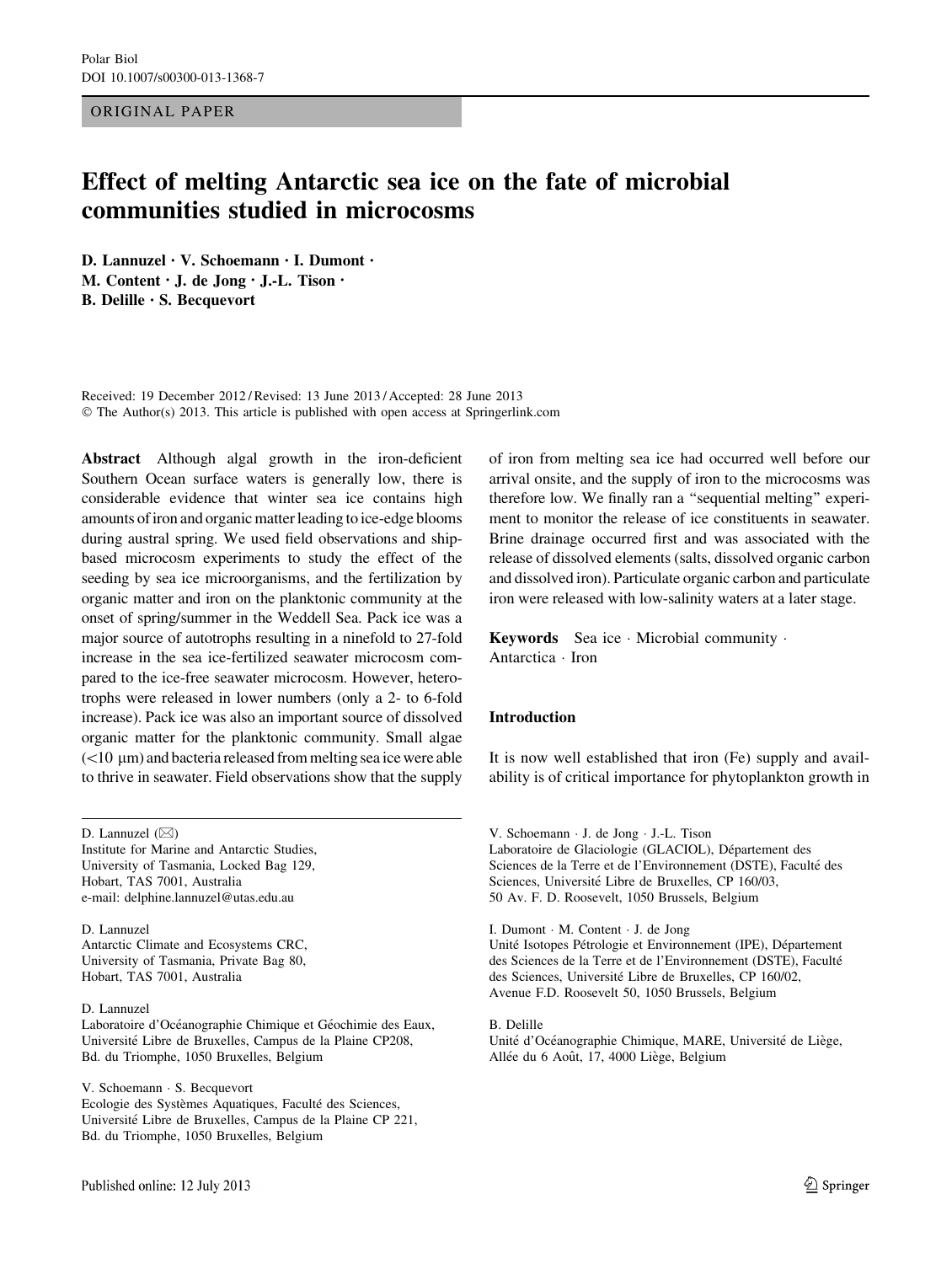ORIGINAL PAPER

# Effect of melting Antarctic sea ice on the fate of microbial communities studied in microcosms

D. Lannuzel • V. Schoemann • I. Dumont • M. Content • J. de Jong • J.-L. Tison • B. Delille • S. Becquevort

Received: 19 December 2012 / Revised: 13 June 2013 / Accepted: 28 June 2013  $\odot$  The Author(s) 2013. This article is published with open access at Springerlink.com

Abstract Although algal growth in the iron-deficient Southern Ocean surface waters is generally low, there is considerable evidence that winter sea ice contains high amounts of iron and organic matter leading to ice-edge blooms during austral spring. We used field observations and shipbased microcosm experiments to study the effect of the seeding by sea ice microorganisms, and the fertilization by organic matter and iron on the planktonic community at the onset of spring/summer in the Weddell Sea. Pack ice was a major source of autotrophs resulting in a ninefold to 27-fold increase in the sea ice-fertilized seawater microcosm compared to the ice-free seawater microcosm. However, heterotrophs were released in lower numbers (only a 2- to 6-fold increase). Pack ice was also an important source of dissolved organic matter for the planktonic community. Small algae  $(<$ 10  $\mu$ m) and bacteria released from melting sea ice were able to thrive in seawater. Field observations show that the supply

D. Lannuzel  $(\boxtimes)$ 

Institute for Marine and Antarctic Studies, University of Tasmania, Locked Bag 129, Hobart, TAS 7001, Australia e-mail: delphine.lannuzel@utas.edu.au

D. Lannuzel Antarctic Climate and Ecosystems CRC, University of Tasmania, Private Bag 80, Hobart, TAS 7001, Australia

#### D. Lannuzel

Laboratoire d'Océanographie Chimique et Géochimie des Eaux, Université Libre de Bruxelles, Campus de la Plaine CP208, Bd. du Triomphe, 1050 Bruxelles, Belgium

V. Schoemann · S. Becquevort Ecologie des Systèmes Aquatiques, Faculté des Sciences, Université Libre de Bruxelles, Campus de la Plaine CP 221, Bd. du Triomphe, 1050 Bruxelles, Belgium

of iron from melting sea ice had occurred well before our arrival onsite, and the supply of iron to the microcosms was therefore low. We finally ran a ''sequential melting'' experiment to monitor the release of ice constituents in seawater. Brine drainage occurred first and was associated with the release of dissolved elements (salts, dissolved organic carbon and dissolved iron). Particulate organic carbon and particulate iron were released with low-salinity waters at a later stage.

**Keywords** Sea ice  $\cdot$  Microbial community  $\cdot$ Antarctica · Iron

## Introduction

It is now well established that iron (Fe) supply and availability is of critical importance for phytoplankton growth in

V. Schoemann · J. de Jong · J.-L. Tison Laboratoire de Glaciologie (GLACIOL), Département des Sciences de la Terre et de l'Environnement (DSTE), Faculté des Sciences, Université Libre de Bruxelles, CP 160/03, 50 Av. F. D. Roosevelt, 1050 Brussels, Belgium

I. Dumont  $\cdot$  M. Content  $\cdot$  J. de Jong

Unité Isotopes Pétrologie et Environnement (IPE), Département des Sciences de la Terre et de l'Environnement (DSTE), Faculté des Sciences, Université Libre de Bruxelles, CP 160/02, Avenue F.D. Roosevelt 50, 1050 Brussels, Belgium

B. Delille Unité d'Océanographie Chimique, MARE, Université de Liège, Allée du 6 Août, 17, 4000 Liège, Belgium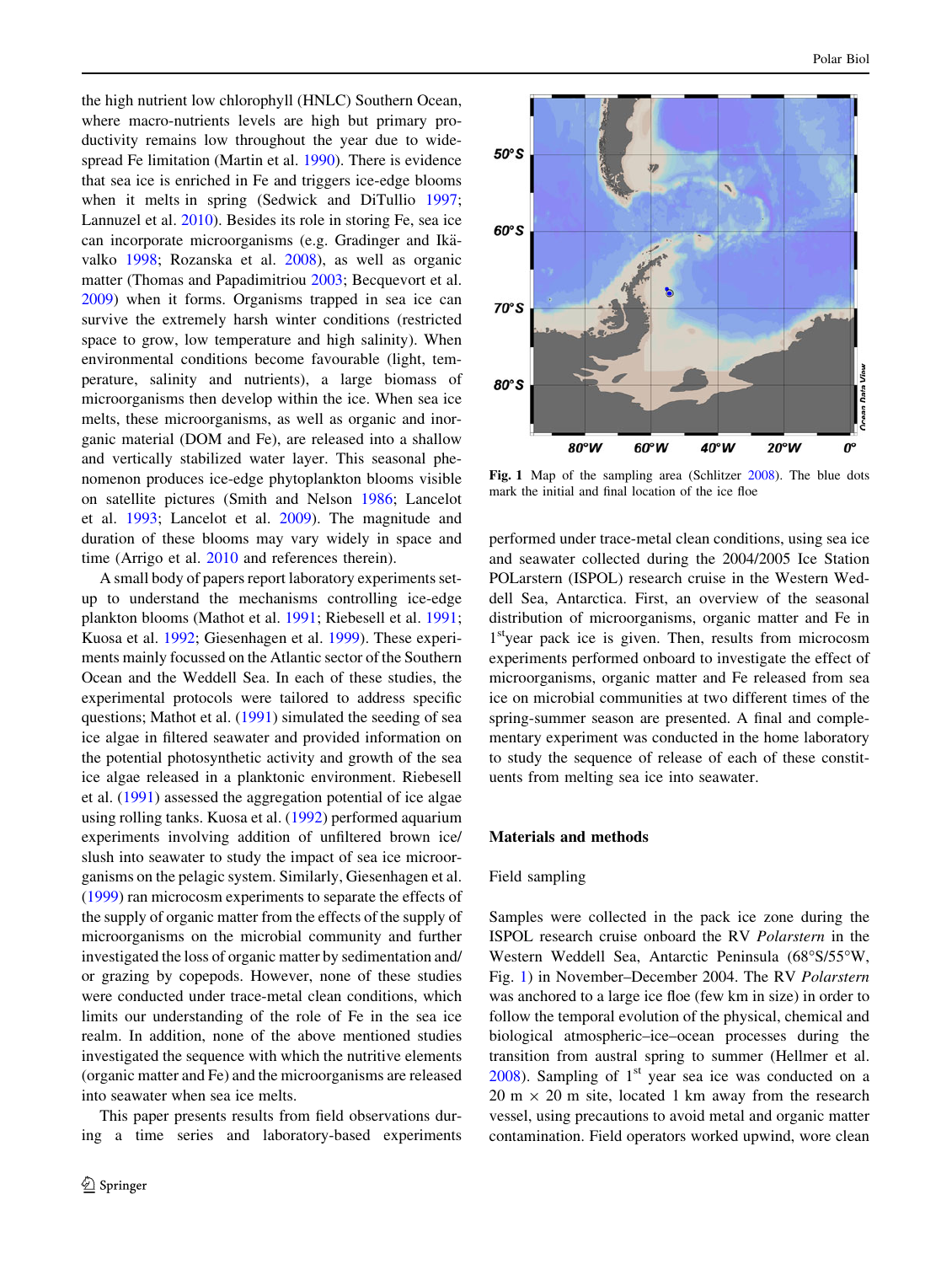the high nutrient low chlorophyll (HNLC) Southern Ocean, where macro-nutrients levels are high but primary productivity remains low throughout the year due to widespread Fe limitation (Martin et al. [1990\)](#page-14-0). There is evidence that sea ice is enriched in Fe and triggers ice-edge blooms when it melts in spring (Sedwick and DiTullio [1997](#page-14-0); Lannuzel et al. [2010](#page-13-0)). Besides its role in storing Fe, sea ice can incorporate microorganisms (e.g. Gradinger and Ikävalko [1998;](#page-13-0) Rozanska et al. [2008](#page-14-0)), as well as organic matter (Thomas and Papadimitriou [2003;](#page-14-0) Becquevort et al. [2009\)](#page-13-0) when it forms. Organisms trapped in sea ice can survive the extremely harsh winter conditions (restricted space to grow, low temperature and high salinity). When environmental conditions become favourable (light, temperature, salinity and nutrients), a large biomass of microorganisms then develop within the ice. When sea ice melts, these microorganisms, as well as organic and inorganic material (DOM and Fe), are released into a shallow and vertically stabilized water layer. This seasonal phenomenon produces ice-edge phytoplankton blooms visible on satellite pictures (Smith and Nelson [1986;](#page-14-0) Lancelot et al. [1993;](#page-13-0) Lancelot et al. [2009\)](#page-13-0). The magnitude and duration of these blooms may vary widely in space and time (Arrigo et al. [2010](#page-13-0) and references therein).

A small body of papers report laboratory experiments setup to understand the mechanisms controlling ice-edge plankton blooms (Mathot et al. [1991](#page-14-0); Riebesell et al. [1991](#page-14-0); Kuosa et al. [1992](#page-13-0); Giesenhagen et al. [1999](#page-13-0)). These experiments mainly focussed on the Atlantic sector of the Southern Ocean and the Weddell Sea. In each of these studies, the experimental protocols were tailored to address specific questions; Mathot et al. ([1991\)](#page-14-0) simulated the seeding of sea ice algae in filtered seawater and provided information on the potential photosynthetic activity and growth of the sea ice algae released in a planktonic environment. Riebesell et al. ([1991\)](#page-14-0) assessed the aggregation potential of ice algae using rolling tanks. Kuosa et al. ([1992\)](#page-13-0) performed aquarium experiments involving addition of unfiltered brown ice/ slush into seawater to study the impact of sea ice microorganisms on the pelagic system. Similarly, Giesenhagen et al. [\(1999](#page-13-0)) ran microcosm experiments to separate the effects of the supply of organic matter from the effects of the supply of microorganisms on the microbial community and further investigated the loss of organic matter by sedimentation and/ or grazing by copepods. However, none of these studies were conducted under trace-metal clean conditions, which limits our understanding of the role of Fe in the sea ice realm. In addition, none of the above mentioned studies investigated the sequence with which the nutritive elements (organic matter and Fe) and the microorganisms are released into seawater when sea ice melts.

<span id="page-1-0"></span>This paper presents results from field observations during a time series and laboratory-based experiments



Fig. 1 Map of the sampling area (Schlitzer [2008](#page-14-0)). The blue dots mark the initial and final location of the ice floe

performed under trace-metal clean conditions, using sea ice and seawater collected during the 2004/2005 Ice Station POLarstern (ISPOL) research cruise in the Western Weddell Sea, Antarctica. First, an overview of the seasonal distribution of microorganisms, organic matter and Fe in 1<sup>st</sup>year pack ice is given. Then, results from microcosm experiments performed onboard to investigate the effect of microorganisms, organic matter and Fe released from sea ice on microbial communities at two different times of the spring-summer season are presented. A final and complementary experiment was conducted in the home laboratory to study the sequence of release of each of these constituents from melting sea ice into seawater.

#### Materials and methods

#### Field sampling

Samples were collected in the pack ice zone during the ISPOL research cruise onboard the RV Polarstern in the Western Weddell Sea, Antarctic Peninsula (68"S/55"W, Fig. [1](#page-1-0)) in November–December 2004. The RV Polarstern was anchored to a large ice floe (few km in size) in order to follow the temporal evolution of the physical, chemical and biological atmospheric–ice–ocean processes during the transition from austral spring to summer (Hellmer et al.  $2008$ ). Sampling of  $1<sup>st</sup>$  year sea ice was conducted on a  $20 \text{ m} \times 20 \text{ m}$  site, located 1 km away from the research vessel, using precautions to avoid metal and organic matter contamination. Field operators worked upwind, wore clean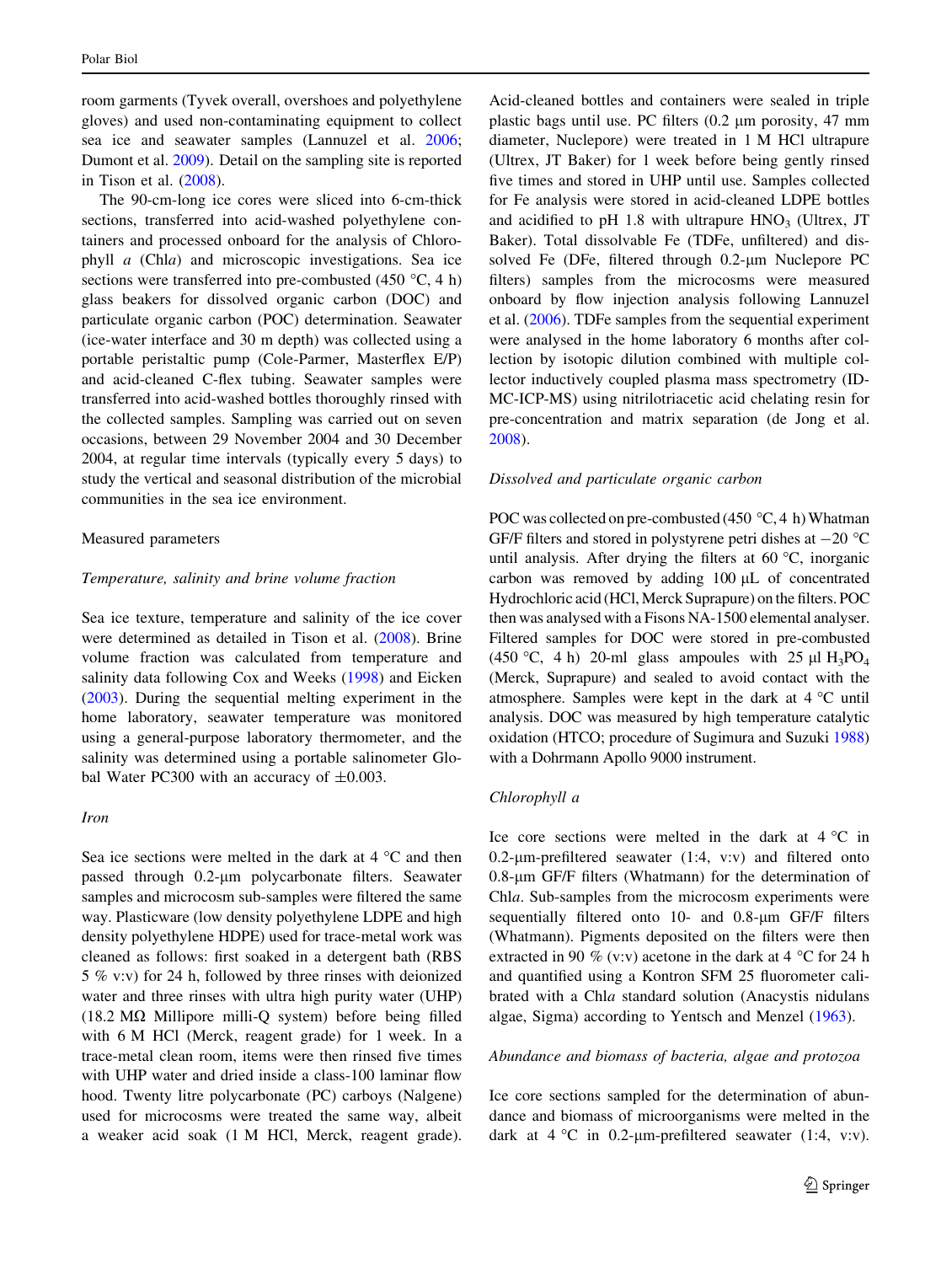room garments (Tyvek overall, overshoes and polyethylene gloves) and used non-contaminating equipment to collect sea ice and seawater samples (Lannuzel et al. [2006](#page-13-0); Dumont et al. [2009](#page-13-0)). Detail on the sampling site is reported in Tison et al. [\(2008](#page-14-0)).

The 90-cm-long ice cores were sliced into 6-cm-thick sections, transferred into acid-washed polyethylene containers and processed onboard for the analysis of Chlorophyll a (Chla) and microscopic investigations. Sea ice sections were transferred into pre-combusted (450 °C, 4 h) glass beakers for dissolved organic carbon (DOC) and particulate organic carbon (POC) determination. Seawater (ice-water interface and 30 m depth) was collected using a portable peristaltic pump (Cole-Parmer, Masterflex E/P) and acid-cleaned C-flex tubing. Seawater samples were transferred into acid-washed bottles thoroughly rinsed with the collected samples. Sampling was carried out on seven occasions, between 29 November 2004 and 30 December 2004, at regular time intervals (typically every 5 days) to study the vertical and seasonal distribution of the microbial communities in the sea ice environment.

## Measured parameters

#### Temperature, salinity and brine volume fraction

Sea ice texture, temperature and salinity of the ice cover were determined as detailed in Tison et al. [\(2008](#page-14-0)). Brine volume fraction was calculated from temperature and salinity data following Cox and Weeks [\(1998](#page-13-0)) and Eicken [\(2003](#page-13-0)). During the sequential melting experiment in the home laboratory, seawater temperature was monitored using a general-purpose laboratory thermometer, and the salinity was determined using a portable salinometer Global Water PC300 with an accuracy of  $\pm 0.003$ .

## Iron

Sea ice sections were melted in the dark at 4 "C and then passed through 0.2-um polycarbonate filters. Seawater samples and microcosm sub-samples were filtered the same way. Plasticware (low density polyethylene LDPE and high density polyethylene HDPE) used for trace-metal work was cleaned as follows: first soaked in a detergent bath (RBS 5 % v:v) for 24 h, followed by three rinses with deionized water and three rinses with ultra high purity water (UHP) (18.2  $\text{M}\Omega$  Millipore milli-Q system) before being filled with 6 M HCl (Merck, reagent grade) for 1 week. In a trace-metal clean room, items were then rinsed five times with UHP water and dried inside a class-100 laminar flow hood. Twenty litre polycarbonate (PC) carboys (Nalgene) used for microcosms were treated the same way, albeit a weaker acid soak (1 M HCl, Merck, reagent grade).

Acid-cleaned bottles and containers were sealed in triple plastic bags until use. PC filters  $(0.2 \mu m)$  porosity, 47 mm diameter, Nuclepore) were treated in 1 M HCl ultrapure (Ultrex, JT Baker) for 1 week before being gently rinsed five times and stored in UHP until use. Samples collected for Fe analysis were stored in acid-cleaned LDPE bottles and acidified to pH 1.8 with ultrapure  $HNO<sub>3</sub>$  (Ultrex, JT Baker). Total dissolvable Fe (TDFe, unfiltered) and dissolved Fe (DFe, filtered through  $0.2$ - $\mu$ m Nuclepore PC filters) samples from the microcosms were measured onboard by flow injection analysis following Lannuzel et al. [\(2006](#page-13-0)). TDFe samples from the sequential experiment were analysed in the home laboratory 6 months after collection by isotopic dilution combined with multiple collector inductively coupled plasma mass spectrometry (ID-MC-ICP-MS) using nitrilotriacetic acid chelating resin for pre-concentration and matrix separation (de Jong et al. [2008](#page-13-0)).

#### Dissolved and particulate organic carbon

POC was collected on pre-combusted (450  $\degree$ C, 4 h) Whatman GF/F filters and stored in polystyrene petri dishes at  $-20$  °C until analysis. After drying the filters at 60 "C, inorganic carbon was removed by adding  $100 \mu L$  of concentrated Hydrochloric acid (HCl, Merck Suprapure) on the filters. POC then was analysed with a Fisons NA-1500 elemental analyser. Filtered samples for DOC were stored in pre-combusted (450 °C, 4 h) 20-ml glass ampoules with 25  $\mu$ I H<sub>3</sub>PO<sub>4</sub> (Merck, Suprapure) and sealed to avoid contact with the atmosphere. Samples were kept in the dark at 4 "C until analysis. DOC was measured by high temperature catalytic oxidation (HTCO; procedure of Sugimura and Suzuki [1988\)](#page-14-0) with a Dohrmann Apollo 9000 instrument.

## Chlorophyll a

Ice core sections were melted in the dark at  $4^{\circ}$ C in 0.2- $\mu$ m-prefiltered seawater (1:4, v:v) and filtered onto 0.8-lm GF/F filters (Whatmann) for the determination of Chla. Sub-samples from the microcosm experiments were sequentially filtered onto  $10$ - and  $0.8$ - $\mu$ m GF/F filters (Whatmann). Pigments deposited on the filters were then extracted in 90 % (v:v) acetone in the dark at 4  $^{\circ}$ C for 24 h and quantified using a Kontron SFM 25 fluorometer calibrated with a Chla standard solution (Anacystis nidulans algae, Sigma) according to Yentsch and Menzel ([1963\)](#page-14-0).

#### Abundance and biomass of bacteria, algae and protozoa

Ice core sections sampled for the determination of abundance and biomass of microorganisms were melted in the dark at  $4 °C$  in 0.2-µm-prefiltered seawater (1:4, v:v).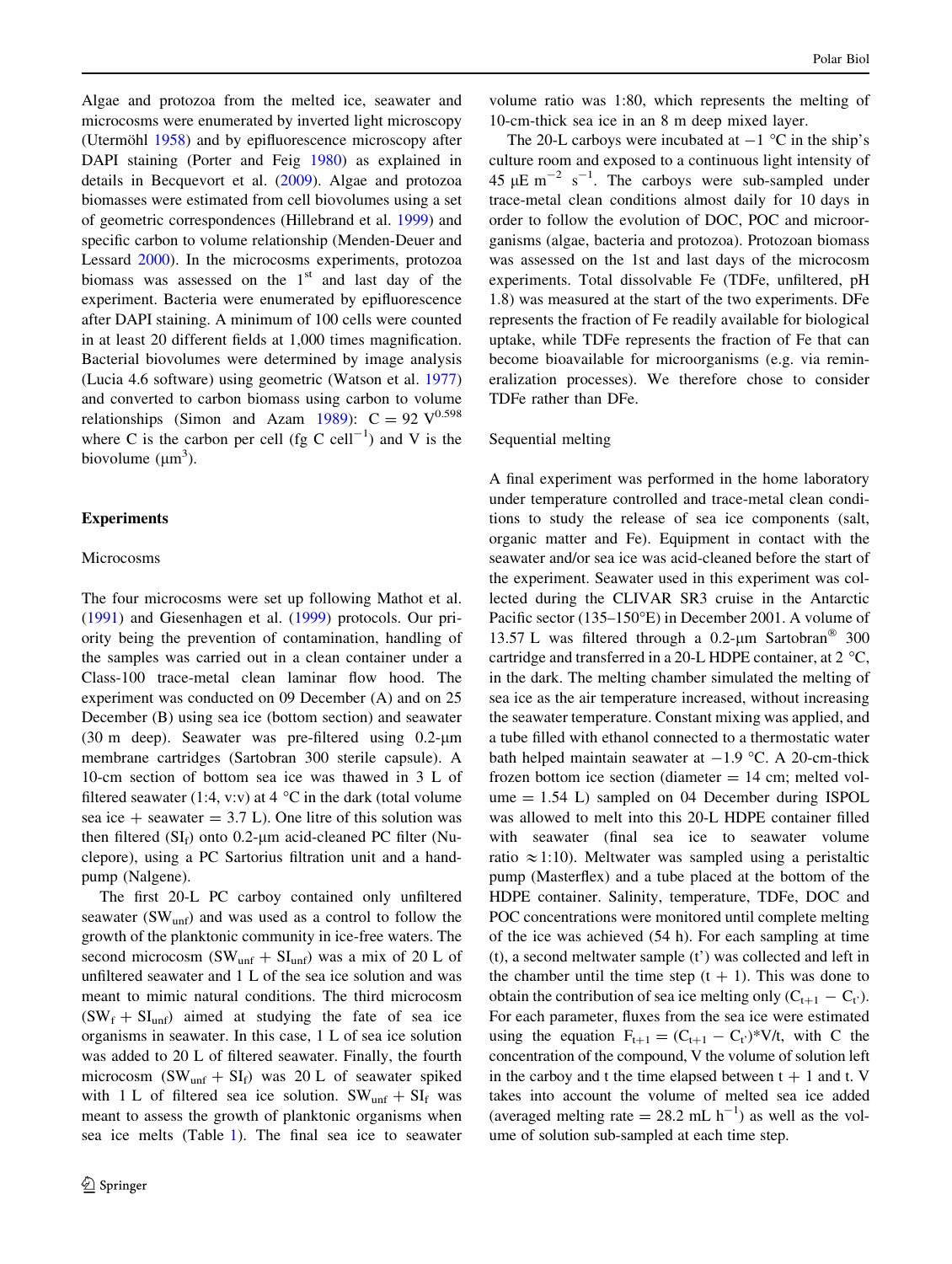Algae and protozoa from the melted ice, seawater and microcosms were enumerated by inverted light microscopy (Utermöhl  $1958$ ) and by epifluorescence microscopy after DAPI staining (Porter and Feig [1980\)](#page-14-0) as explained in details in Becquevort et al. ([2009\)](#page-13-0). Algae and protozoa biomasses were estimated from cell biovolumes using a set of geometric correspondences (Hillebrand et al. [1999](#page-13-0)) and specific carbon to volume relationship (Menden-Deuer and Lessard [2000](#page-14-0)). In the microcosms experiments, protozoa biomass was assessed on the  $1<sup>st</sup>$  and last day of the experiment. Bacteria were enumerated by epifluorescence after DAPI staining. A minimum of 100 cells were counted in at least 20 different fields at 1,000 times magnification. Bacterial biovolumes were determined by image analysis (Lucia 4.6 software) using geometric (Watson et al. [1977\)](#page-14-0) and converted to carbon biomass using carbon to volume relationships (Simon and Azam [1989\)](#page-14-0):  $C = 92 \text{ V}^{0.598}$ where C is the carbon per cell (fg C cell<sup>-1</sup>) and V is the biovolume  $(\mu m^3)$ .

#### Experiments

## Microcosms

The four microcosms were set up following Mathot et al. [\(1991](#page-14-0)) and Giesenhagen et al. [\(1999](#page-13-0)) protocols. Our priority being the prevention of contamination, handling of the samples was carried out in a clean container under a Class-100 trace-metal clean laminar flow hood. The experiment was conducted on 09 December (A) and on 25 December (B) using sea ice (bottom section) and seawater (30 m deep). Seawater was pre-filtered using  $0.2$ - $\mu$ m membrane cartridges (Sartobran 300 sterile capsule). A 10-cm section of bottom sea ice was thawed in 3 L of filtered seawater (1:4, v:v) at 4  $^{\circ}$ C in the dark (total volume sea ice  $+$  seawater  $= 3.7$  L). One litre of this solution was then filtered  $(SI_f)$  onto 0.2-µm acid-cleaned PC filter (Nuclepore), using a PC Sartorius filtration unit and a handpump (Nalgene).

The first 20-L PC carboy contained only unfiltered seawater ( $SW<sub>unf</sub>$ ) and was used as a control to follow the growth of the planktonic community in ice-free waters. The second microcosm (SW<sub>unf</sub> + SI<sub>unf</sub>) was a mix of 20 L of unfiltered seawater and 1 L of the sea ice solution and was meant to mimic natural conditions. The third microcosm  $(SW_f + SI_{unf})$  aimed at studying the fate of sea ice organisms in seawater. In this case, 1 L of sea ice solution was added to 20 L of filtered seawater. Finally, the fourth microcosm  $(SW_{unf} + SI_f)$  was 20 L of seawater spiked with 1 L of filtered sea ice solution.  $SW_{unf} + SI_f$  was meant to assess the growth of planktonic organisms when sea ice melts (Table [1\)](#page-4-0). The final sea ice to seawater volume ratio was 1:80, which represents the melting of 10-cm-thick sea ice in an 8 m deep mixed layer.

The 20-L carboys were incubated at  $-1$  °C in the ship's culture room and exposed to a continuous light intensity of 45  $\mu$ E m<sup>-2</sup> s<sup>-1</sup>. The carboys were sub-sampled under trace-metal clean conditions almost daily for 10 days in order to follow the evolution of DOC, POC and microorganisms (algae, bacteria and protozoa). Protozoan biomass was assessed on the 1st and last days of the microcosm experiments. Total dissolvable Fe (TDFe, unfiltered, pH 1.8) was measured at the start of the two experiments. DFe represents the fraction of Fe readily available for biological uptake, while TDFe represents the fraction of Fe that can become bioavailable for microorganisms (e.g. via remineralization processes). We therefore chose to consider TDFe rather than DFe.

#### Sequential melting

A final experiment was performed in the home laboratory under temperature controlled and trace-metal clean conditions to study the release of sea ice components (salt, organic matter and Fe). Equipment in contact with the seawater and/or sea ice was acid-cleaned before the start of the experiment. Seawater used in this experiment was collected during the CLIVAR SR3 cruise in the Antarctic Pacific sector (135–150"E) in December 2001. A volume of 13.57 L was filtered through a  $0.2$ -µm Sartobran<sup>®</sup> 300 cartridge and transferred in a 20-L HDPE container, at 2 "C, in the dark. The melting chamber simulated the melting of sea ice as the air temperature increased, without increasing the seawater temperature. Constant mixing was applied, and a tube filled with ethanol connected to a thermostatic water bath helped maintain seawater at  $-1.9$  °C. A 20-cm-thick frozen bottom ice section (diameter  $= 14$  cm; melted vol $ume = 1.54$  L) sampled on 04 December during ISPOL was allowed to melt into this 20-L HDPE container filled with seawater (final sea ice to seawater volume ratio  $\approx$ 1:10). Meltwater was sampled using a peristaltic pump (Masterflex) and a tube placed at the bottom of the HDPE container. Salinity, temperature, TDFe, DOC and POC concentrations were monitored until complete melting of the ice was achieved (54 h). For each sampling at time (t), a second meltwater sample (t') was collected and left in the chamber until the time step  $(t + 1)$ . This was done to obtain the contribution of sea ice melting only  $(C_{t+1} - C_t)$ . For each parameter, fluxes from the sea ice were estimated using the equation  $F_{t+1} = (C_{t+1} - C_t)^* V/t$ , with C the concentration of the compound, V the volume of solution left in the carboy and t the time elapsed between  $t + 1$  and t. V takes into account the volume of melted sea ice added (averaged melting rate = 28.2 mL  $h^{-1}$ ) as well as the volume of solution sub-sampled at each time step.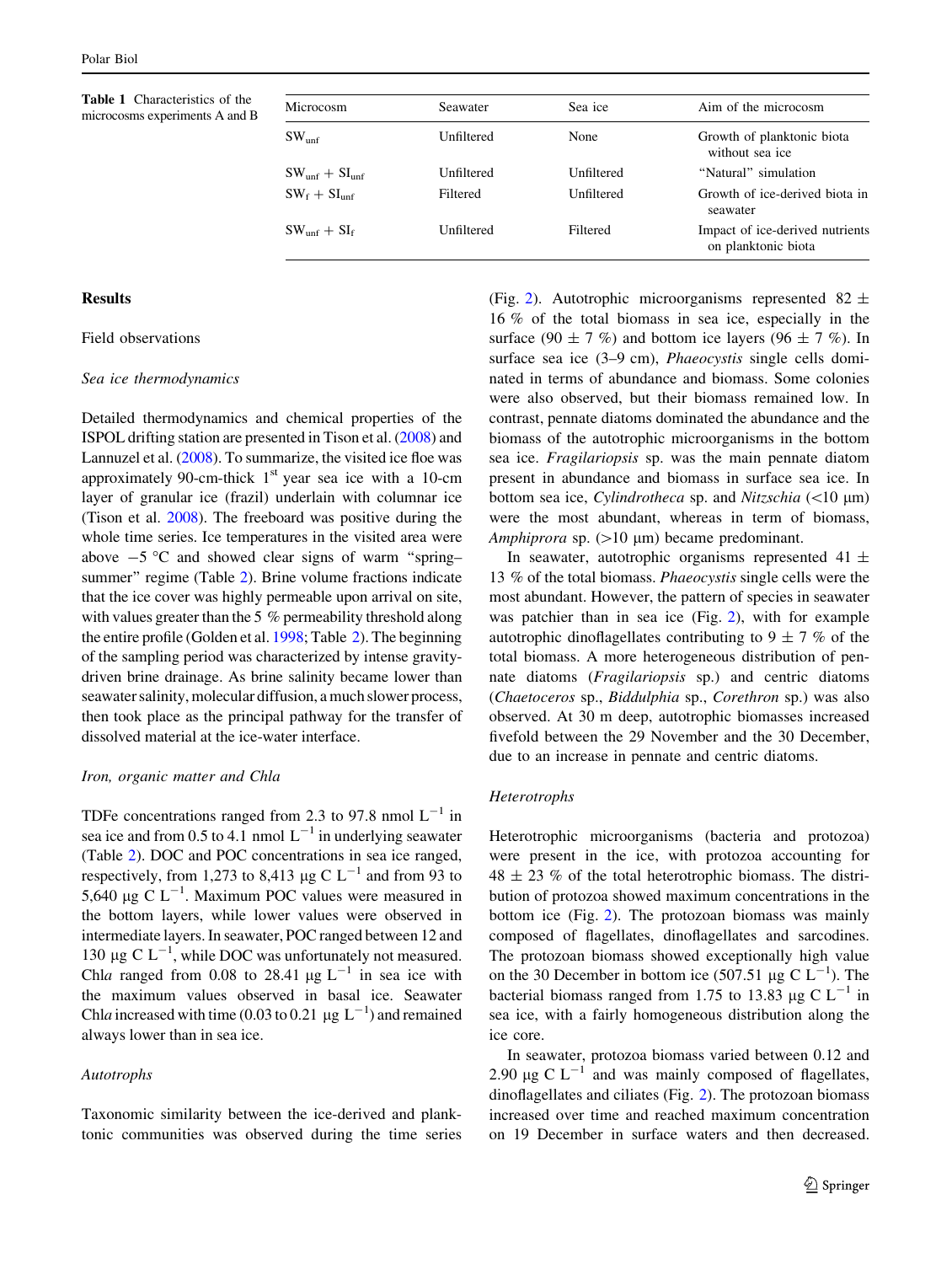Table 1 Characteristics of the microcosms experiments A and B

| Microcosm             | Seawater   | Sea ice    | Aim of the microcosm                                   |
|-----------------------|------------|------------|--------------------------------------------------------|
| SW <sub>unf</sub>     | Unfiltered | None       | Growth of planktonic biota<br>without sea ice          |
| $SW_{unf} + SI_{unf}$ | Unfiltered | Unfiltered | "Natural" simulation                                   |
| $SW_f + SU_{unf}$     | Filtered   | Unfiltered | Growth of ice-derived biota in<br>seawater             |
| $SW_{unf} + SI_{f}$   | Unfiltered | Filtered   | Impact of ice-derived nutrients<br>on planktonic biota |

## **Results**

# Field observations

#### Sea ice thermodynamics

Detailed thermodynamics and chemical properties of the ISPOL drifting station are presented in Tison et al. [\(2008\)](#page-14-0) and Lannuzel et al. ([2008](#page-13-0)). To summarize, the visited ice floe was approximately 90-cm-thick  $1<sup>st</sup>$  year sea ice with a 10-cm layer of granular ice (frazil) underlain with columnar ice (Tison et al. [2008](#page-14-0)). The freeboard was positive during the whole time series. Ice temperatures in the visited area were above  $-5$  °C and showed clear signs of warm "spring– summer'' regime (Table [2](#page-5-0)). Brine volume fractions indicate that the ice cover was highly permeable upon arrival on site, with values greater than the 5 % permeability threshold along the entire profile (Golden et al. [1998](#page-13-0); Table [2](#page-5-0)). The beginning of the sampling period was characterized by intense gravitydriven brine drainage. As brine salinity became lower than seawater salinity, molecular diffusion, a much slower process, then took place as the principal pathway for the transfer of dissolved material at the ice-water interface.

## Iron, organic matter and Chla

TDFe concentrations ranged from 2.3 to 97.8 nmol  $L^{-1}$  in sea ice and from 0.5 to 4.1 nmol  $L^{-1}$  in underlying seawater (Table [2](#page-5-0)). DOC and POC concentrations in sea ice ranged, respectively, from 1,273 to 8,413  $\mu$ g C L<sup>-1</sup> and from 93 to 5,640 µg C  $L^{-1}$ . Maximum POC values were measured in the bottom layers, while lower values were observed in intermediate layers. In seawater, POC ranged between 12 and 130 µg C  $L^{-1}$ , while DOC was unfortunately not measured. Chla ranged from 0.08 to 28.41  $\mu$ g L<sup>-1</sup> in sea ice with the maximum values observed in basal ice. Seawater Chla increased with time (0.03 to 0.21  $\mu$ g L<sup>-1</sup>) and remained always lower than in sea ice.

## Autotrophs

<span id="page-4-0"></span>Taxonomic similarity between the ice-derived and planktonic communities was observed during the time series (Fig. [2\)](#page-7-0). Autotrophic microorganisms represented  $82 \pm$ 16 % of the total biomass in sea ice, especially in the surface (90  $\pm$  7 %) and bottom ice layers (96  $\pm$  7 %). In surface sea ice (3–9 cm), *Phaeocystis* single cells dominated in terms of abundance and biomass. Some colonies were also observed, but their biomass remained low. In contrast, pennate diatoms dominated the abundance and the biomass of the autotrophic microorganisms in the bottom sea ice. Fragilariopsis sp. was the main pennate diatom present in abundance and biomass in surface sea ice. In bottom sea ice, Cylindrotheca sp. and Nitzschia  $(\leq 10 \mu m)$ were the most abundant, whereas in term of biomass, Amphiprora sp.  $(>10 \mu m)$  became predominant.

In seawater, autotrophic organisms represented  $41 \pm$ 13 % of the total biomass. Phaeocystis single cells were the most abundant. However, the pattern of species in seawater was patchier than in sea ice (Fig. [2](#page-7-0)), with for example autotrophic dinoflagellates contributing to  $9 \pm 7$  % of the total biomass. A more heterogeneous distribution of pennate diatoms (Fragilariopsis sp.) and centric diatoms (Chaetoceros sp., Biddulphia sp., Corethron sp.) was also observed. At 30 m deep, autotrophic biomasses increased fivefold between the 29 November and the 30 December, due to an increase in pennate and centric diatoms.

## Heterotrophs

Heterotrophic microorganisms (bacteria and protozoa) were present in the ice, with protozoa accounting for  $48 \pm 23$  % of the total heterotrophic biomass. The distribution of protozoa showed maximum concentrations in the bottom ice (Fig. [2](#page-7-0)). The protozoan biomass was mainly composed of flagellates, dinoflagellates and sarcodines. The protozoan biomass showed exceptionally high value on the 30 December in bottom ice (507.51 µg C  $L^{-1}$ ). The bacterial biomass ranged from 1.75 to 13.83  $\mu$ g C L<sup>-1</sup> in sea ice, with a fairly homogeneous distribution along the ice core.

In seawater, protozoa biomass varied between 0.12 and 2.90  $\mu$ g C L<sup>-1</sup> and was mainly composed of flagellates, dinoflagellates and ciliates (Fig. [2](#page-7-0)). The protozoan biomass increased over time and reached maximum concentration on 19 December in surface waters and then decreased.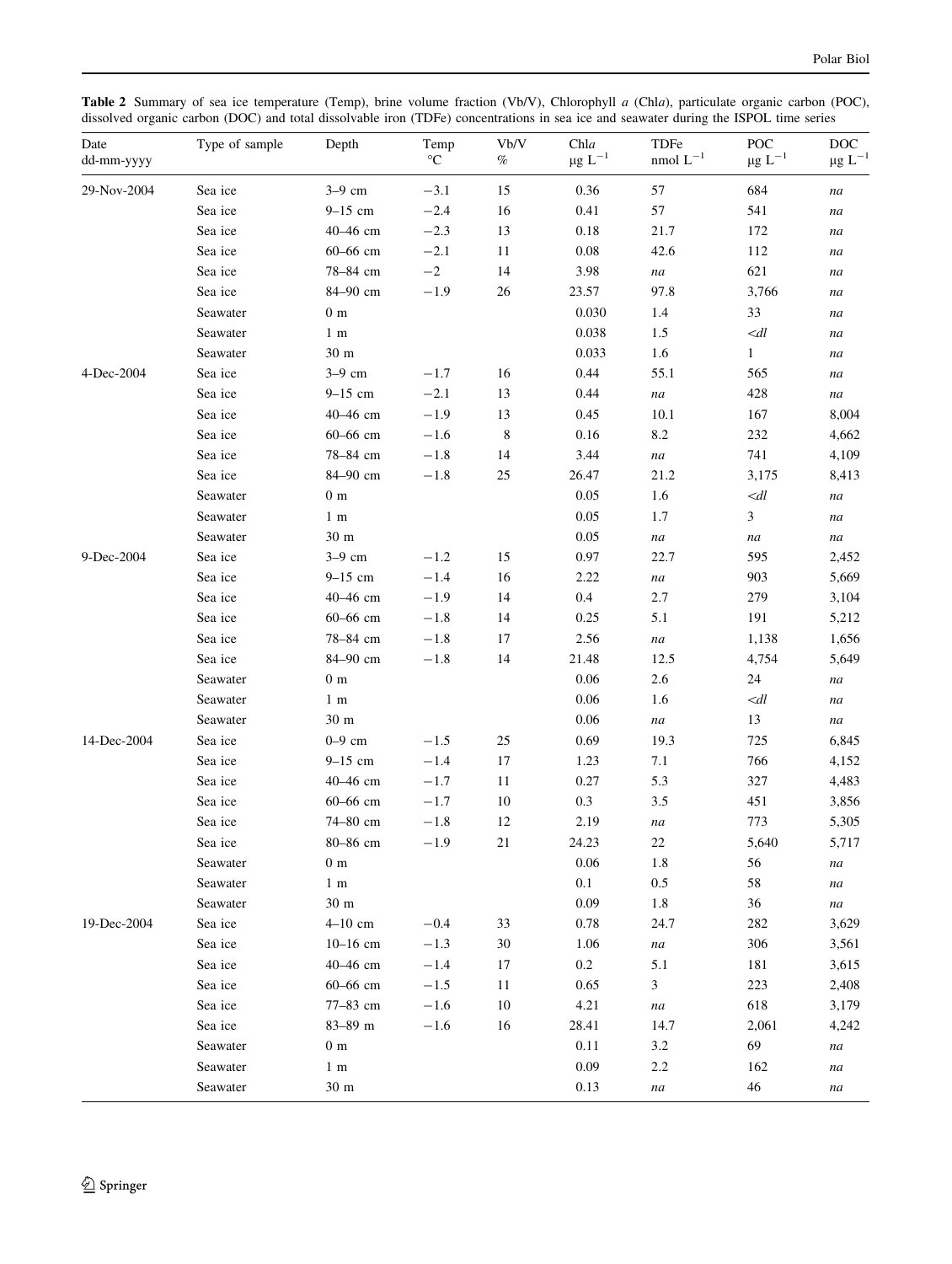Table 2 Summary of sea ice temperature (Temp), brine volume fraction (Vb/V), Chlorophyll a (Chla), particulate organic carbon (POC), dissolved organic carbon (DOC) and total dissolvable iron (TDFe) concentrations in sea ice and seawater during the ISPOL time series

<span id="page-5-0"></span>

| Date<br>dd-mm-yyyy | Type of sample | Depth           | Temp<br>$\rm ^{\circ}C$ | Vb/V<br>$\%$ | Chla<br>$\mu g \ L^{-1}$ | TDFe<br>nmol $L^{-1}$ | POC<br>$\mu g \ L^{-1}$ | $_{\mathrm{DOC}}$<br>$\mu g$ $L^{-1}$ |
|--------------------|----------------|-----------------|-------------------------|--------------|--------------------------|-----------------------|-------------------------|---------------------------------------|
| 29-Nov-2004        | Sea ice        | $3-9$ cm        | $-3.1$                  | 15           | 0.36                     | 57                    | 684                     | na                                    |
|                    | Sea ice        | $9-15$ cm       | $-2.4$                  | 16           | 0.41                     | 57                    | 541                     | na                                    |
|                    | Sea ice        | 40-46 cm        | $-2.3$                  | 13           | $0.18\,$                 | 21.7                  | 172                     | na                                    |
|                    | Sea ice        | 60-66 cm        | $-2.1$                  | $11\,$       | $0.08\,$                 | 42.6                  | 112                     | na                                    |
|                    | Sea ice        | 78-84 cm        | $-2$                    | 14           | 3.98                     | $\it na$              | 621                     | na                                    |
|                    | Sea ice        | 84-90 cm        | $-1.9$                  | 26           | 23.57                    | 97.8                  | 3,766                   | na                                    |
|                    | Seawater       | $0 \text{ m}$   |                         |              | 0.030                    | 1.4                   | 33                      | na                                    |
|                    | Seawater       | 1 <sub>m</sub>  |                         |              | 0.038                    | 1.5                   | $\ll dl$                | na                                    |
|                    | Seawater       | 30 m            |                         |              | 0.033                    | 1.6                   | $\mathbf{1}$            | na                                    |
| 4-Dec-2004         | Sea ice        | 3-9 cm          | $-1.7$                  | 16           | 0.44                     | 55.1                  | 565                     | na                                    |
|                    | Sea ice        | $9 - 15$ cm     | $-2.1$                  | 13           | 0.44                     | na                    | 428                     | na                                    |
|                    | Sea ice        | 40-46 cm        | $-1.9$                  | 13           | 0.45                     | 10.1                  | 167                     | 8,004                                 |
|                    | Sea ice        | 60-66 cm        | $-1.6$                  | $\,8\,$      | 0.16                     | 8.2                   | 232                     | 4,662                                 |
|                    | Sea ice        | 78-84 cm        | $-1.8$                  | 14           | 3.44                     | na                    | 741                     | 4,109                                 |
|                    | Sea ice        | 84-90 cm        | $-1.8$                  | 25           | 26.47                    | 21.2                  | 3,175                   | 8,413                                 |
|                    | Seawater       | $0 \text{ m}$   |                         |              | 0.05                     | 1.6                   | $\ll$ dl                | na                                    |
|                    | Seawater       | 1 <sub>m</sub>  |                         |              | 0.05                     | 1.7                   | 3                       | na                                    |
|                    | Seawater       | 30 <sub>m</sub> |                         |              | 0.05                     | $\it na$              | $\it na$                | na                                    |
| 9-Dec-2004         | Sea ice        | $3-9$ cm        | $-1.2$                  | 15           | $0.97\,$                 | 22.7                  | 595                     | 2,452                                 |
|                    | Sea ice        | $9-15$ cm       | $-1.4$                  | 16           | 2.22                     | na                    | 903                     | 5,669                                 |
|                    | Sea ice        | 40-46 cm        | $-1.9$                  | 14           | 0.4                      | 2.7                   | 279                     | 3,104                                 |
|                    | Sea ice        | 60-66 cm        | $-1.8$                  | 14           | 0.25                     | 5.1                   | 191                     | 5,212                                 |
|                    | Sea ice        | 78-84 cm        | $-1.8$                  | 17           | 2.56                     | na                    | 1,138                   | 1,656                                 |
|                    | Sea ice        | 84-90 cm        | $-1.8$                  | 14           | 21.48                    | 12.5                  | 4,754                   | 5,649                                 |
|                    | Seawater       | $0 \text{ m}$   |                         |              | 0.06                     | 2.6                   | 24                      | na                                    |
|                    | Seawater       | 1 <sub>m</sub>  |                         |              | 0.06                     | 1.6                   | $\ll$ dl                | na                                    |
|                    | Seawater       | 30 m            |                         |              | 0.06                     | na                    | 13                      | na                                    |
| 14-Dec-2004        | Sea ice        | $0-9$ cm        | $-1.5$                  | 25           | 0.69                     | 19.3                  | 725                     | 6,845                                 |
|                    | Sea ice        | $9-15$ cm       | $-1.4$                  | 17           | 1.23                     | 7.1                   | 766                     | 4,152                                 |
|                    | Sea ice        | 40-46 cm        | $-1.7$                  | 11           | 0.27                     | 5.3                   | 327                     | 4,483                                 |
|                    | Sea ice        | 60-66 cm        | $-1.7$                  | $10\,$       | $0.3\,$                  | 3.5                   | 451                     | 3,856                                 |
|                    | Sea ice        | 74-80 cm        | $-1.8$                  | 12           | 2.19                     | na                    | 773                     | 5,305                                 |
|                    | Sea ice        | 80-86 cm        | $-1.9$                  | 21           | 24.23                    | 22                    | 5,640                   | 5,717                                 |
|                    | Seawater       | $0 \text{ m}$   |                         |              | $0.06\,$                 | $1.8\,$               | 56                      | na                                    |
|                    | Seawater       | 1 <sub>m</sub>  |                         |              | 0.1                      | $0.5\,$               | 58                      | na                                    |
|                    | Seawater       | $30 \text{ m}$  |                         |              | 0.09                     | $1.8\,$               | 36                      | na                                    |
| 19-Dec-2004        | Sea ice        | $4-10$ cm       | $-0.4$                  | 33           | 0.78                     | 24.7                  | 282                     | 3,629                                 |
|                    | Sea ice        | $10 - 16$ cm    | $-1.3$                  | $30\,$       | 1.06                     | na                    | 306                     | 3,561                                 |
|                    | Sea ice        | 40-46 cm        | $-1.4$                  | 17           | $0.2\,$                  | 5.1                   | 181                     | 3,615                                 |
|                    | Sea ice        | 60-66 cm        | $-1.5$                  | 11           | 0.65                     | $\mathfrak{Z}$        | 223                     | 2,408                                 |
|                    | Sea ice        | 77-83 cm        | $-1.6$                  | 10           | 4.21                     | na                    | 618                     | 3,179                                 |
|                    | Sea ice        | 83-89 m         | $-1.6$                  | 16           | 28.41                    | 14.7                  | 2,061                   | 4,242                                 |
|                    | Seawater       | $0 \text{ m}$   |                         |              | $0.11\,$                 | 3.2                   | 69                      | na                                    |
|                    | Seawater       | $1 \text{ m}$   |                         |              | 0.09                     | 2.2                   | 162                     | na                                    |
|                    | Seawater       | 30 <sub>m</sub> |                         |              | 0.13                     | na                    | $46\,$                  | na                                    |
|                    |                |                 |                         |              |                          |                       |                         |                                       |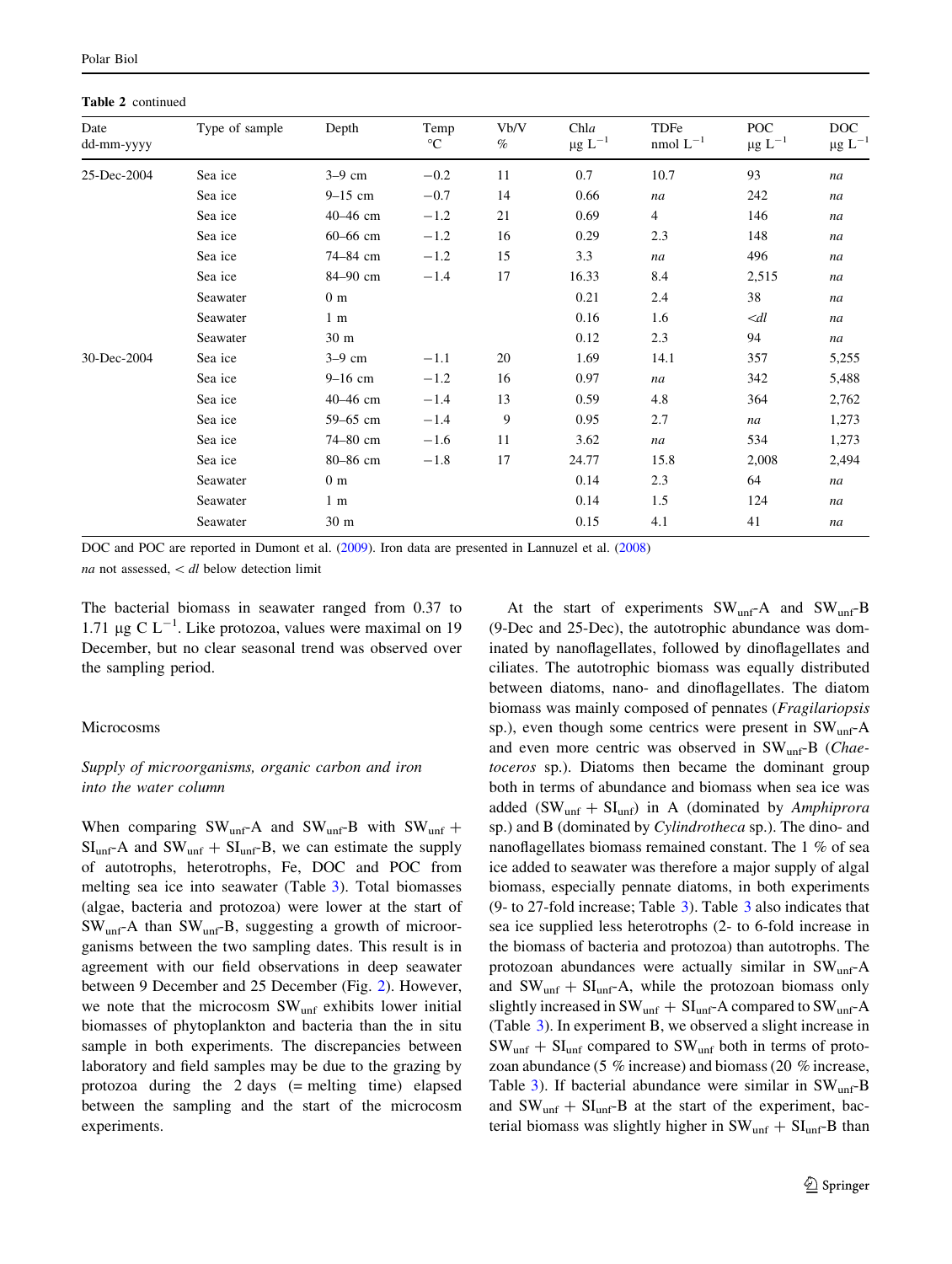Table 2 continued

| Date<br>dd-mm-yyyy | Type of sample | Depth           | Temp<br>$^{\circ}{\rm C}$ | Vb/V<br>$\%$ | Chla<br>$\mu g \ L^{-1}$ | TDFe<br>nmol $\mathop{\hbox{\rm L}}\nolimits^{-1}$ | POC<br>$\mu g \ L^{-1}$ | <b>DOC</b><br>$\mu g$ $L^{-1}$ |
|--------------------|----------------|-----------------|---------------------------|--------------|--------------------------|----------------------------------------------------|-------------------------|--------------------------------|
| 25-Dec-2004        | Sea ice        | $3-9$ cm        | $-0.2$                    | 11           | 0.7                      | 10.7                                               | 93                      | na                             |
|                    | Sea ice        | $9-15$ cm       | $-0.7$                    | 14           | 0.66                     | na                                                 | 242                     | na                             |
|                    | Sea ice        | 40-46 cm        | $-1.2$                    | 21           | 0.69                     | $\overline{4}$                                     | 146                     | na                             |
|                    | Sea ice        | 60-66 cm        | $-1.2$                    | 16           | 0.29                     | 2.3                                                | 148                     | na                             |
|                    | Sea ice        | 74-84 cm        | $-1.2$                    | 15           | 3.3                      | na                                                 | 496                     | na                             |
|                    | Sea ice        | 84-90 cm        | $-1.4$                    | 17           | 16.33                    | 8.4                                                | 2,515                   | na                             |
|                    | Seawater       | 0 <sub>m</sub>  |                           |              | 0.21                     | 2.4                                                | 38                      | na                             |
|                    | Seawater       | 1 <sub>m</sub>  |                           |              | 0.16                     | 1.6                                                | $\ll dl$                | na                             |
|                    | Seawater       | 30 <sub>m</sub> |                           |              | 0.12                     | 2.3                                                | 94                      | na                             |
| 30-Dec-2004        | Sea ice        | $3-9$ cm        | $-1.1$                    | 20           | 1.69                     | 14.1                                               | 357                     | 5,255                          |
|                    | Sea ice        | $9-16$ cm       | $-1.2$                    | 16           | 0.97                     | na                                                 | 342                     | 5,488                          |
|                    | Sea ice        | 40-46 cm        | $-1.4$                    | 13           | 0.59                     | 4.8                                                | 364                     | 2,762                          |
|                    | Sea ice        | 59-65 cm        | $-1.4$                    | 9            | 0.95                     | 2.7                                                | na                      | 1,273                          |
|                    | Sea ice        | 74-80 cm        | $-1.6$                    | 11           | 3.62                     | na                                                 | 534                     | 1,273                          |
|                    | Sea ice        | 80-86 cm        | $-1.8$                    | 17           | 24.77                    | 15.8                                               | 2,008                   | 2,494                          |
|                    | Seawater       | 0 <sub>m</sub>  |                           |              | 0.14                     | 2.3                                                | 64                      | na                             |
|                    | Seawater       | $1 \text{ m}$   |                           |              | 0.14                     | 1.5                                                | 124                     | na                             |
|                    | Seawater       | 30 m            |                           |              | 0.15                     | 4.1                                                | 41                      | na                             |

DOC and POC are reported in Dumont et al. [\(2009](#page-13-0)). Iron data are presented in Lannuzel et al. [\(2008](#page-13-0)) na not assessed,  $\langle dl \rangle$  below detection limit

The bacterial biomass in seawater ranged from 0.37 to 1.71 µg C  $L^{-1}$ . Like protozoa, values were maximal on 19 December, but no clear seasonal trend was observed over the sampling period.

## Microcosms

# Supply of microorganisms, organic carbon and iron into the water column

When comparing  $SW_{unf} - A$  and  $SW_{unf} - B$  with  $SW_{unf} +$  $SI_{unf}$ -A and  $SW_{unf} + SI_{unf}$ -B, we can estimate the supply of autotrophs, heterotrophs, Fe, DOC and POC from melting sea ice into seawater (Table [3\)](#page-7-0). Total biomasses (algae, bacteria and protozoa) were lower at the start of SWunf-A than SWunf-B, suggesting a growth of microorganisms between the two sampling dates. This result is in agreement with our field observations in deep seawater between 9 December and 25 December (Fig. [2](#page-7-0)). However, we note that the microcosm SW<sub>unf</sub> exhibits lower initial biomasses of phytoplankton and bacteria than the in situ sample in both experiments. The discrepancies between laboratory and field samples may be due to the grazing by protozoa during the 2 days (= melting time) elapsed between the sampling and the start of the microcosm experiments.

At the start of experiments  $SW<sub>unf</sub> - A$  and  $SW<sub>unf</sub> - B$ (9-Dec and 25-Dec), the autotrophic abundance was dominated by nanoflagellates, followed by dinoflagellates and ciliates. The autotrophic biomass was equally distributed between diatoms, nano- and dinoflagellates. The diatom biomass was mainly composed of pennates (Fragilariopsis sp.), even though some centrics were present in  $SW<sub>unf</sub>$ -A and even more centric was observed in SWunf-B (Chaetoceros sp.). Diatoms then became the dominant group both in terms of abundance and biomass when sea ice was added  $(SW_{unf} + SI_{unf})$  in A (dominated by Amphiprora sp.) and B (dominated by Cylindrotheca sp.). The dino- and nanoflagellates biomass remained constant. The 1 % of sea ice added to seawater was therefore a major supply of algal biomass, especially pennate diatoms, in both experiments (9- to 27-fold increase; Table [3](#page-7-0)). Table [3](#page-7-0) also indicates that sea ice supplied less heterotrophs (2- to 6-fold increase in the biomass of bacteria and protozoa) than autotrophs. The protozoan abundances were actually similar in SW<sub>unf</sub>-A and  $SW_{unf} + SI_{unf} - A$ , while the protozoan biomass only slightly increased in  $SW_{unf} + SI_{unf}$ -A compared to  $SW_{unf}$ -A (Table [3\)](#page-7-0). In experiment B, we observed a slight increase in  $SW_{unf} + SI_{unf}$  compared to  $SW_{unf}$  both in terms of protozoan abundance (5 % increase) and biomass (20 % increase, Table [3](#page-7-0)). If bacterial abundance were similar in  $SW<sub>unf</sub> - B$ and  $SW_{unf} + SI_{unf} - B$  at the start of the experiment, bacterial biomass was slightly higher in  $SW_{unf} + SI_{unf} - B$  than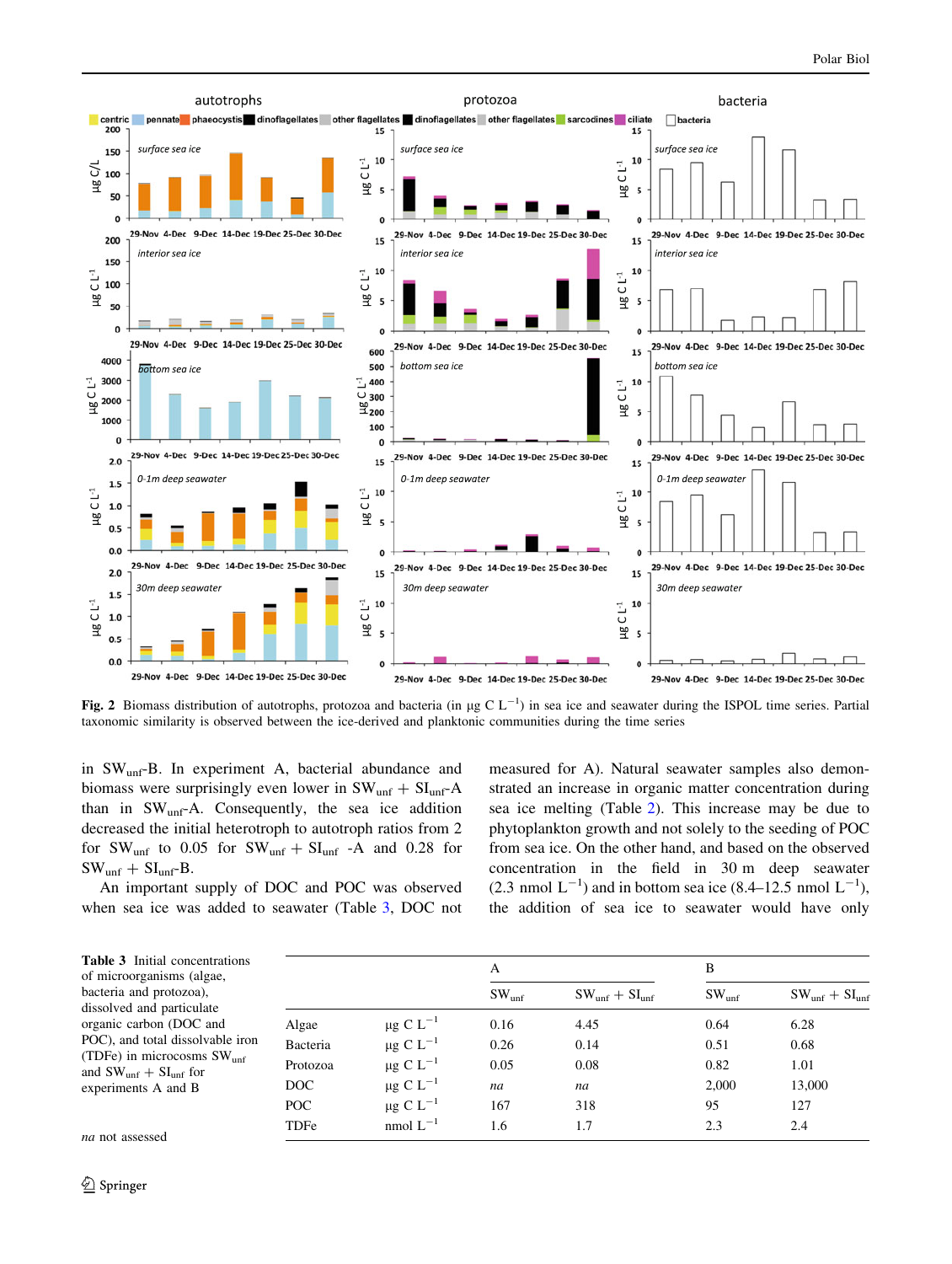

Fig. 2 Biomass distribution of autotrophs, protozoa and bacteria (in  $\mu$ g C L<sup>-1</sup>) in sea ice and seawater during the ISPOL time series. Partial taxonomic similarity is observed between the ice-derived and planktonic communities during the time series

in SWunf-B. In experiment A, bacterial abundance and biomass were surprisingly even lower in  $SW_{unf} + SI_{unf} - A$ than in  $SW_{unf}A$ . Consequently, the sea ice addition decreased the initial heterotroph to autotroph ratios from 2 for  $SW_{unf}$  to 0.05 for  $SW_{unf} + SI_{unf}$  -A and 0.28 for  $SW_{unf} + SI_{unf} - B$ .

An important supply of DOC and POC was observed when sea ice was added to seawater (Table [3](#page-7-0), DOC not measured for A). Natural seawater samples also demonstrated an increase in organic matter concentration during sea ice melting (Table [2](#page-5-0)). This increase may be due to phytoplankton growth and not solely to the seeding of POC from sea ice. On the other hand, and based on the observed concentration in the field in 30 m deep seawater  $(2.3 \text{ nmol L}^{-1})$  and in bottom sea ice  $(8.4-12.5 \text{ nmol L}^{-1})$ , the addition of sea ice to seawater would have only

| <b>Table 3</b> Initial concentrations<br>of microorganisms (algae,                                                                                  |          |                           | A                 |                       | B                 |                       |
|-----------------------------------------------------------------------------------------------------------------------------------------------------|----------|---------------------------|-------------------|-----------------------|-------------------|-----------------------|
| bacteria and protozoa),<br>dissolved and particulate                                                                                                |          |                           | SW <sub>unf</sub> | $SW_{unf} + SI_{unf}$ | SW <sub>unf</sub> | $SW_{unf} + SI_{unf}$ |
| organic carbon (DOC and<br>POC), and total dissolvable iron<br>(TDFe) in microcosms $SWunf$<br>and $SW_{unf} + SI_{unf}$ for<br>experiments A and B | Algae    | $\mu$ g C L <sup>-1</sup> | 0.16              | 4.45                  | 0.64              | 6.28                  |
|                                                                                                                                                     | Bacteria | $\mu$ g C L <sup>-1</sup> | 0.26              | 0.14                  | 0.51              | 0.68                  |
|                                                                                                                                                     | Protozoa | $\mu$ g C L <sup>-1</sup> | 0.05              | 0.08                  | 0.82              | 1.01                  |
|                                                                                                                                                     | DOC      | $\mu$ g C L <sup>-1</sup> | na                | na                    | 2.000             | 13,000                |
|                                                                                                                                                     | POC      | $\mu$ g C L <sup>-1</sup> | 167               | 318                   | 95                | 127                   |
| na not assessed.                                                                                                                                    | TDFe     | nmol $L^{-1}$             | 1.6               | 1.7                   | 2.3               | 2.4                   |

<span id="page-7-0"></span>na not assess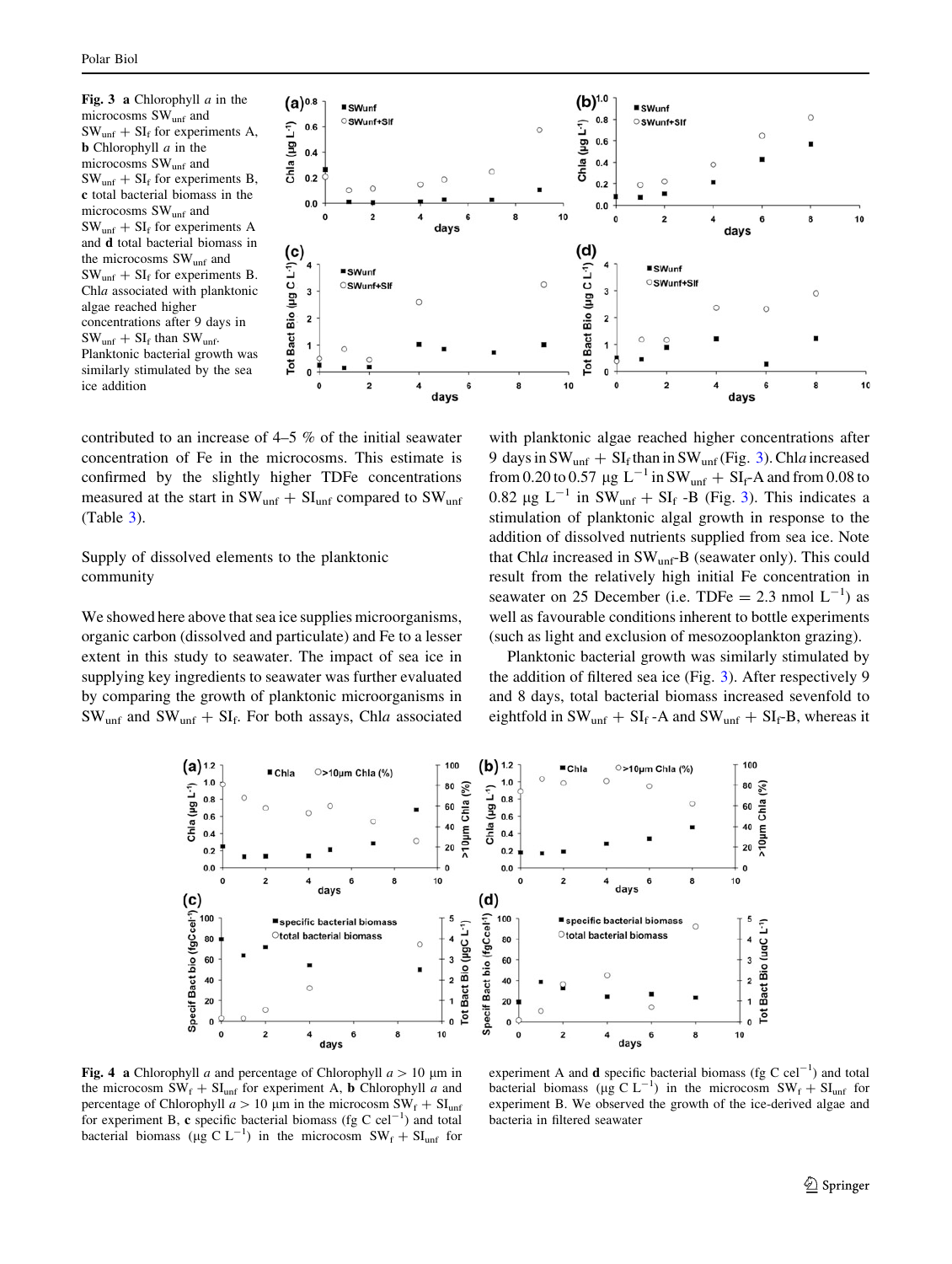Fig. 3 a Chlorophyll  $a$  in the microcosms SWunf and  $SW<sub>unf</sub> + SI<sub>f</sub>$  for experiments A. **b** Chlorophyll  $a$  in the microcosms SWunf and  $SW<sub>unf</sub> + SI<sub>f</sub>$  for experiments B, c total bacterial biomass in the microcosms SWunf and  $SW<sub>unf</sub> + SI<sub>f</sub>$  for experiments A and d total bacterial biomass in the microcosms SW<sub>unf</sub> and  $SW_{unf} + SI_f$  for experiments B. Chla associated with planktonic algae reached higher concentrations after 9 days in  $SW_{unf} + SI_f$  than  $SW_{unf}$ . Planktonic bacterial growth was similarly stimulated by the sea ice addition



contributed to an increase of 4–5 % of the initial seawater concentration of Fe in the microcosms. This estimate is confirmed by the slightly higher TDFe concentrations measured at the start in  $SW_{unf} + SI_{unf}$  compared to  $SW_{unf}$ (Table [3](#page-7-0)).

# Supply of dissolved elements to the planktonic community

We showed here above that sea ice supplies microorganisms, organic carbon (dissolved and particulate) and Fe to a lesser extent in this study to seawater. The impact of sea ice in supplying key ingredients to seawater was further evaluated by comparing the growth of planktonic microorganisms in  $SW_{unf}$  and  $SW_{unf} + SI_f$ . For both assays, Chla associated with planktonic algae reached higher concentrations after 9 days in  $SW_{unf} + SI_f$  than in  $SW_{unf}$  (Fig. [3\)](#page-8-0). Chla increased from 0.20 to 0.57  $\mu$ g L<sup>-1</sup> in SW<sub>unf</sub> + SI<sub>f</sub>-A and from 0.08 to 0.82  $\mu$ g L<sup>-1</sup> in SW<sub>unf</sub> + SI<sub>f</sub> -B (Fig. [3\)](#page-8-0). This indicates a stimulation of planktonic algal growth in response to the addition of dissolved nutrients supplied from sea ice. Note that Chla increased in  $SW_{unf}B$  (seawater only). This could result from the relatively high initial Fe concentration in seawater on 25 December (i.e. TDFe = 2.3 nmol  $L^{-1}$ ) as well as favourable conditions inherent to bottle experiments (such as light and exclusion of mesozooplankton grazing).

Planktonic bacterial growth was similarly stimulated by the addition of filtered sea ice (Fig. [3\)](#page-8-0). After respectively 9 and 8 days, total bacterial biomass increased sevenfold to eightfold in  $SW_{unf} + SI_f$ -A and  $SW_{unf} + SI_f-B$ , whereas it



<span id="page-8-0"></span>Fig. 4 a Chlorophyll a and percentage of Chlorophyll  $a > 10 \mu m$  in the microcosm  $SW_f + SI_{unf}$  for experiment A, **b** Chlorophyll a and percentage of Chlorophyll  $a > 10 \mu m$  in the microcosm  $SW_f + SU_{unf}$ for experiment B, c specific bacterial biomass (fg C  $\text{cel}^{-1}$ ) and total bacterial biomass ( $\mu$ g C L<sup>-1</sup>) in the microcosm SW<sub>f</sub> + SI<sub>unf</sub> for

experiment A and **d** specific bacterial biomass (fg C cel<sup>-1</sup>) and total bacterial biomass ( $\mu$ g C L<sup>-1</sup>) in the microcosm SW<sub>f</sub> + SI<sub>unf</sub> for experiment B. We observed the growth of the ice-derived algae and bacteria in filtered seawater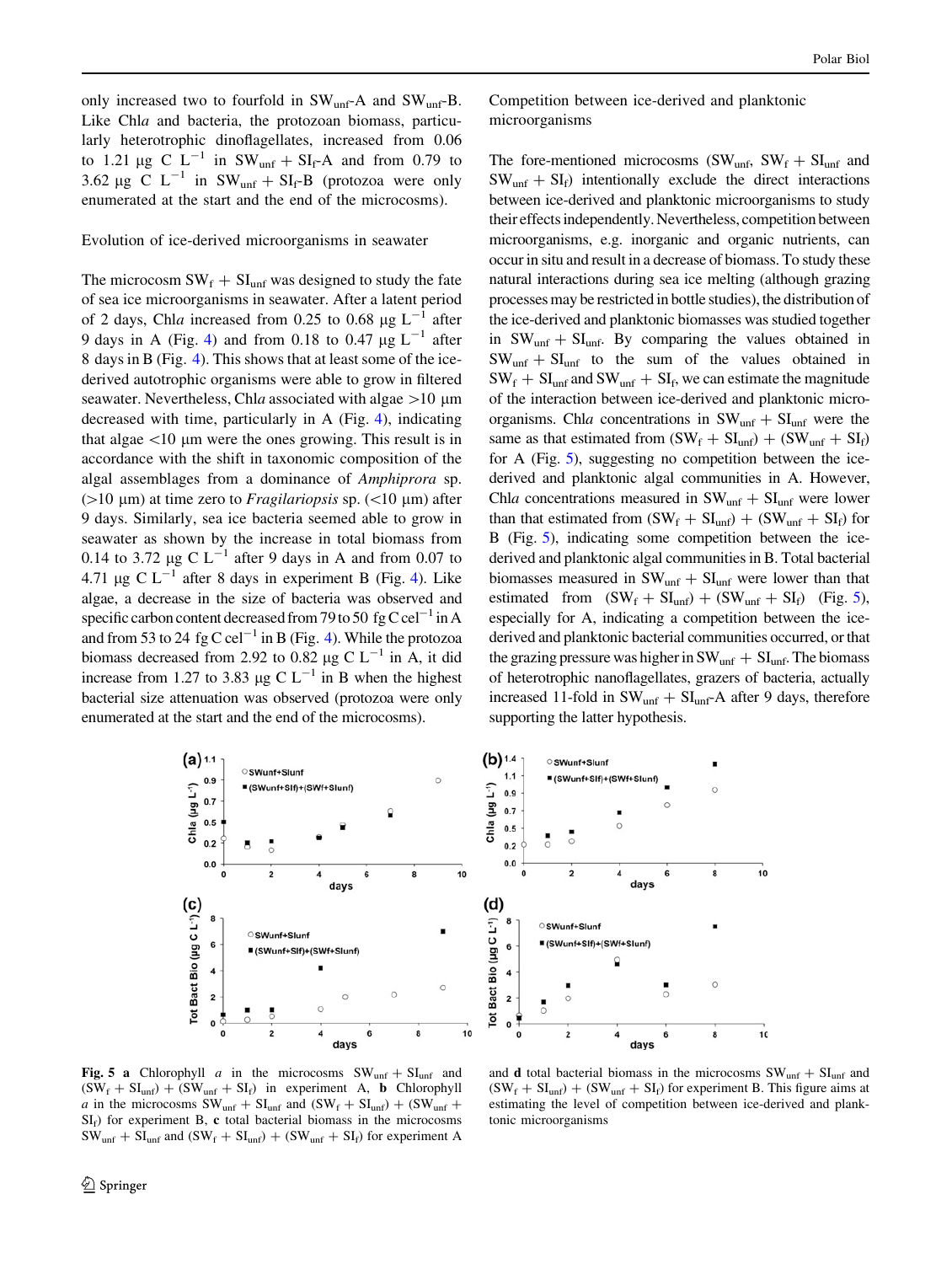only increased two to fourfold in  $SW_{unf}A$  and  $SW_{unf}B$ . Like Chla and bacteria, the protozoan biomass, particularly heterotrophic dinoflagellates, increased from 0.06 to 1.21  $\mu$ g C L<sup>-1</sup> in SW<sub>unf</sub> + SI<sub>f</sub>-A and from 0.79 to 3.62 µg C  $L^{-1}$  in SW<sub>unf</sub> + SI<sub>f</sub>-B (protozoa were only enumerated at the start and the end of the microcosms).

Evolution of ice-derived microorganisms in seawater

The microcosm  $SW_f + SI_{unf}$  was designed to study the fate of sea ice microorganisms in seawater. After a latent period of 2 days, Chla increased from 0.25 to 0.68  $\mu$ g L<sup>-1</sup> after 9 days in A (Fig. [4\)](#page-8-0) and from 0.18 to 0.47  $\mu$ g L<sup>-1</sup> after 8 days in B (Fig. [4](#page-8-0)). This shows that at least some of the icederived autotrophic organisms were able to grow in filtered seawater. Nevertheless, Chla associated with algae  $>10 \mu$ m decreased with time, particularly in A (Fig. [4](#page-8-0)), indicating that algae  $\langle 10 \rangle$  µm were the ones growing. This result is in accordance with the shift in taxonomic composition of the algal assemblages from a dominance of Amphiprora sp. ( $>10 \mu$ m) at time zero to *Fragilariopsis* sp. ( $<10 \mu$ m) after 9 days. Similarly, sea ice bacteria seemed able to grow in seawater as shown by the increase in total biomass from 0.14 to 3.72  $\mu$ g C L<sup>-1</sup> after 9 days in A and from 0.07 to 4.71 µg C  $L^{-1}$  after 8 days in experiment B (Fig. [4\)](#page-8-0). Like algae, a decrease in the size of bacteria was observed and specific carbon content decreased from 79 to 50 fg C cel<sup>-1</sup> in A and from 53 to 24 fg C cel<sup>-1</sup> in B (Fig. [4\)](#page-8-0). While the protozoa biomass decreased from 2.92 to 0.82  $\mu$ g C L<sup>-1</sup> in A, it did increase from 1.27 to 3.83  $\mu$ g C L<sup>-1</sup> in B when the highest bacterial size attenuation was observed (protozoa were only enumerated at the start and the end of the microcosms).

Competition between ice-derived and planktonic microorganisms

The fore-mentioned microcosms (SW<sub>unf</sub>, SW<sub>f</sub> + SI<sub>unf</sub> and  $SW_{unf} + SI_f$ ) intentionally exclude the direct interactions between ice-derived and planktonic microorganisms to study their effects independently. Nevertheless, competition between microorganisms, e.g. inorganic and organic nutrients, can occur in situ and result in a decrease of biomass. To study these natural interactions during sea ice melting (although grazing processes may be restricted in bottle studies), the distribution of the ice-derived and planktonic biomasses was studied together in  $SW_{unf} + SI_{unf}$ . By comparing the values obtained in  $SW_{unf} + SI_{unf}$  to the sum of the values obtained in  $SW_f + SI_{unf}$  and  $SW_{unf} + SI_f$ , we can estimate the magnitude of the interaction between ice-derived and planktonic microorganisms. Chla concentrations in  $SW_{unf} + SI_{unf}$  were the same as that estimated from  $(SW_f + SI_{unf}) + (SW_{unf} + SI_f)$ for A (Fig. [5\)](#page-9-0), suggesting no competition between the icederived and planktonic algal communities in A. However, Chla concentrations measured in  $SW_{unf} + SI_{unf}$  were lower than that estimated from  $(SW_f + SI_{unf}) + (SW_{unf} + SI_f)$  for B (Fig. [5](#page-9-0)), indicating some competition between the icederived and planktonic algal communities in B. Total bacterial biomasses measured in  $SW_{unf} + SI_{unf}$  were lower than that estimated from  $(SW_f + SI_{unf}) + (SW_{unf} + SI_f)$  (Fig. [5\)](#page-9-0), especially for A, indicating a competition between the icederived and planktonic bacterial communities occurred, or that the grazing pressure was higher in  $SW_{unf} + SI_{unf}$ . The biomass of heterotrophic nanoflagellates, grazers of bacteria, actually increased 11-fold in  $SW_{unf} + SI_{unf}$ -A after 9 days, therefore supporting the latter hypothesis.





<span id="page-9-0"></span>Fig. 5 a Chlorophyll a in the microcosms  $SW_{unf} + SI_{unf}$  and  $(SW_f + SI_{unf}) + (SW_{unf} + SI_f)$  in experiment A, **b** Chlorophyll a in the microcosms  $SW_{unf} + SI_{unf}$  and  $(SW_f + SI_{unf}) + (SW_{unf} +$  $SI<sub>f</sub>$ ) for experiment B, c total bacterial biomass in the microcosms  $SW_{unf} + SI_{unf}$  and  $(SW_f + SI_{unf}) + (SW_{unf} + SI_f)$  for experiment A

and **d** total bacterial biomass in the microcosms  $SW_{unf} + SU_{unf}$  and  $(SW_f + SI_{unf}) + (SW_{unf} + SI_f)$  for experiment B. This figure aims at estimating the level of competition between ice-derived and planktonic microorganisms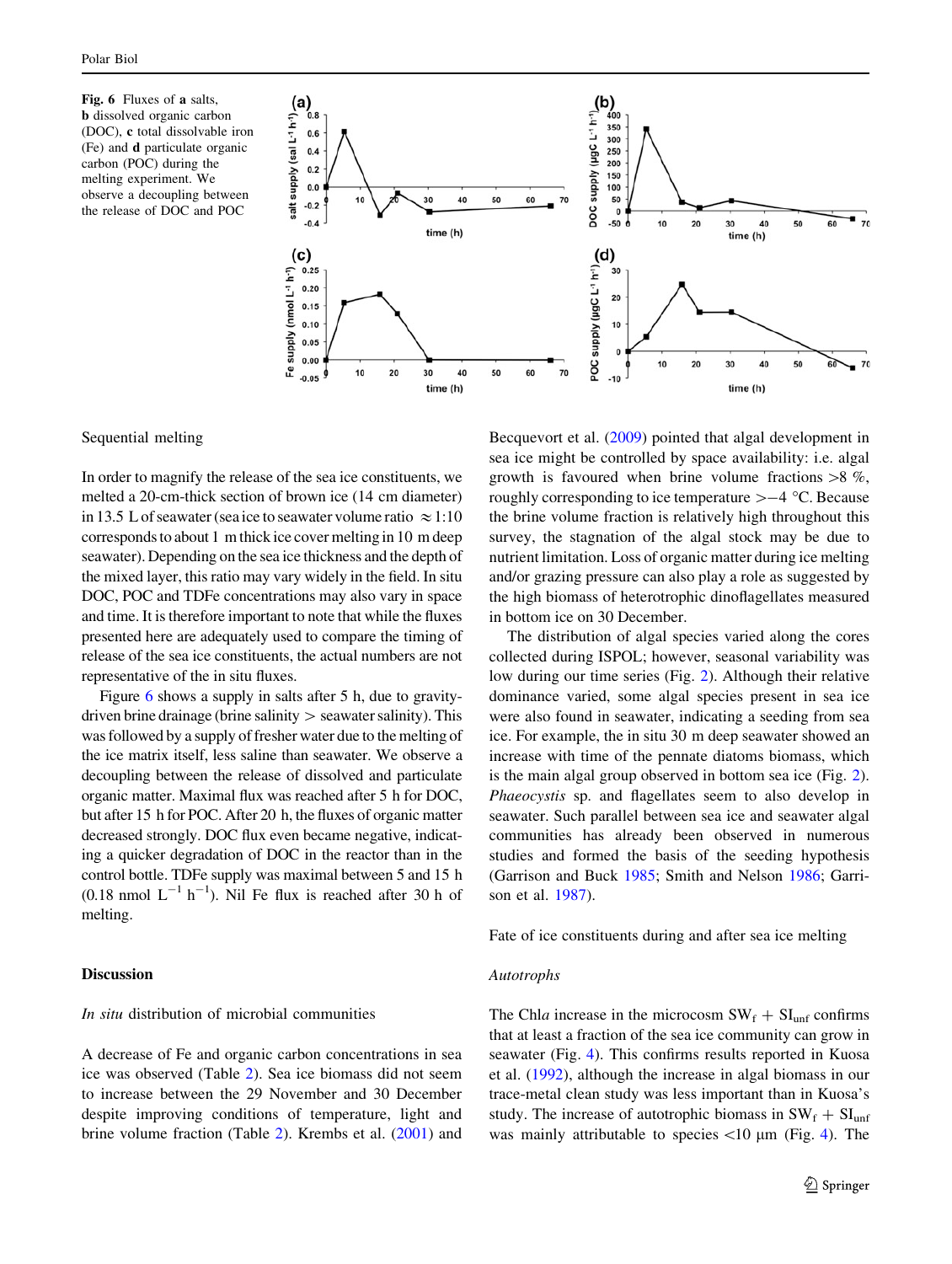Fig. 6 Fluxes of a salts, b dissolved organic carbon (DOC), c total dissolvable iron (Fe) and d particulate organic carbon (POC) during the melting experiment. We observe a decoupling between the release of DOC and POC



## Sequential melting

In order to magnify the release of the sea ice constituents, we melted a 20-cm-thick section of brown ice (14 cm diameter) in 13.5 L of seawater (sea ice to seawater volume ratio  $\approx 1:10$ corresponds to about 1 m thick ice cover melting in 10 m deep seawater). Depending on the sea ice thickness and the depth of the mixed layer, this ratio may vary widely in the field. In situ DOC, POC and TDFe concentrations may also vary in space and time. It is therefore important to note that while the fluxes presented here are adequately used to compare the timing of release of the sea ice constituents, the actual numbers are not representative of the in situ fluxes.

Figure [6](#page-10-0) shows a supply in salts after 5 h, due to gravitydriven brine drainage (brine salinity  $>$  seawater salinity). This was followed by a supply of fresher water due to the melting of the ice matrix itself, less saline than seawater. We observe a decoupling between the release of dissolved and particulate organic matter. Maximal flux was reached after 5 h for DOC, but after 15 h for POC. After 20 h, the fluxes of organic matter decreased strongly. DOC flux even became negative, indicating a quicker degradation of DOC in the reactor than in the control bottle. TDFe supply was maximal between 5 and 15 h  $(0.18 \text{ nmol L}^{-1} \text{ h}^{-1})$ . Nil Fe flux is reached after 30 h of melting.

## Discussion

## In situ distribution of microbial communities

<span id="page-10-0"></span>A decrease of Fe and organic carbon concentrations in sea ice was observed (Table [2\)](#page-5-0). Sea ice biomass did not seem to increase between the 29 November and 30 December despite improving conditions of temperature, light and brine volume fraction (Table [2](#page-5-0)). Krembs et al. [\(2001](#page-13-0)) and

Becquevort et al. ([2009\)](#page-13-0) pointed that algal development in sea ice might be controlled by space availability: i.e. algal growth is favoured when brine volume fractions  $>8 \%$ , roughly corresponding to ice temperature  $>-4$  °C. Because the brine volume fraction is relatively high throughout this survey, the stagnation of the algal stock may be due to nutrient limitation. Loss of organic matter during ice melting and/or grazing pressure can also play a role as suggested by the high biomass of heterotrophic dinoflagellates measured in bottom ice on 30 December.

The distribution of algal species varied along the cores collected during ISPOL; however, seasonal variability was low during our time series (Fig. [2](#page-7-0)). Although their relative dominance varied, some algal species present in sea ice were also found in seawater, indicating a seeding from sea ice. For example, the in situ 30 m deep seawater showed an increase with time of the pennate diatoms biomass, which is the main algal group observed in bottom sea ice (Fig. [2](#page-7-0)). Phaeocystis sp. and flagellates seem to also develop in seawater. Such parallel between sea ice and seawater algal communities has already been observed in numerous studies and formed the basis of the seeding hypothesis (Garrison and Buck [1985](#page-13-0); Smith and Nelson [1986;](#page-14-0) Garrison et al. [1987\)](#page-13-0).

Fate of ice constituents during and after sea ice melting

#### Autotrophs

The Chla increase in the microcosm  $SW_f + SI_{unf}$  confirms that at least a fraction of the sea ice community can grow in seawater (Fig. [4](#page-8-0)). This confirms results reported in Kuosa et al. ([1992\)](#page-13-0), although the increase in algal biomass in our trace-metal clean study was less important than in Kuosa's study. The increase of autotrophic biomass in  $SW_f + SI_{unf}$ was mainly attributable to species  $\langle 10 \mu m \rangle$  (Fig. [4](#page-8-0)). The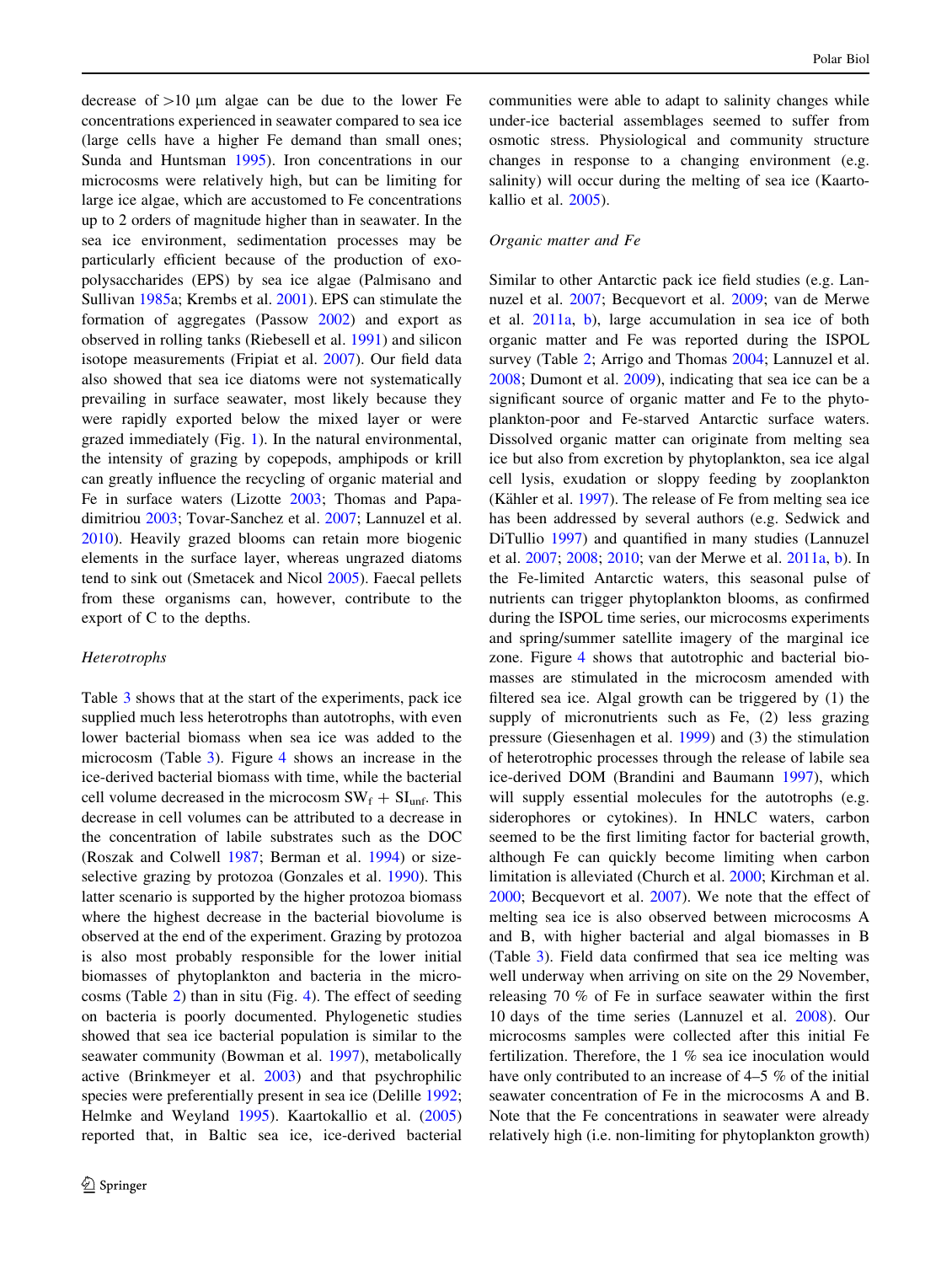decrease of  $>10$  um algae can be due to the lower Fe concentrations experienced in seawater compared to sea ice (large cells have a higher Fe demand than small ones; Sunda and Huntsman [1995\)](#page-14-0). Iron concentrations in our microcosms were relatively high, but can be limiting for large ice algae, which are accustomed to Fe concentrations up to 2 orders of magnitude higher than in seawater. In the sea ice environment, sedimentation processes may be particularly efficient because of the production of exopolysaccharides (EPS) by sea ice algae (Palmisano and Sullivan [1985a](#page-14-0); Krembs et al. [2001\)](#page-13-0). EPS can stimulate the formation of aggregates (Passow [2002](#page-14-0)) and export as observed in rolling tanks (Riebesell et al. [1991](#page-14-0)) and silicon isotope measurements (Fripiat et al. [2007](#page-13-0)). Our field data also showed that sea ice diatoms were not systematically prevailing in surface seawater, most likely because they were rapidly exported below the mixed layer or were grazed immediately (Fig. [1\)](#page-1-0). In the natural environmental, the intensity of grazing by copepods, amphipods or krill can greatly influence the recycling of organic material and Fe in surface waters (Lizotte [2003](#page-13-0); Thomas and Papadimitriou [2003](#page-14-0); Tovar-Sanchez et al. [2007](#page-14-0); Lannuzel et al. [2010\)](#page-13-0). Heavily grazed blooms can retain more biogenic elements in the surface layer, whereas ungrazed diatoms tend to sink out (Smetacek and Nicol [2005](#page-14-0)). Faecal pellets from these organisms can, however, contribute to the export of C to the depths.

#### Heterotrophs

Table [3](#page-7-0) shows that at the start of the experiments, pack ice supplied much less heterotrophs than autotrophs, with even lower bacterial biomass when sea ice was added to the microcosm (Table [3\)](#page-7-0). Figure [4](#page-8-0) shows an increase in the ice-derived bacterial biomass with time, while the bacterial cell volume decreased in the microcosm  $SW_f + SI_{unf}$ . This decrease in cell volumes can be attributed to a decrease in the concentration of labile substrates such as the DOC (Roszak and Colwell [1987](#page-14-0); Berman et al. [1994](#page-13-0)) or sizeselective grazing by protozoa (Gonzales et al. [1990](#page-13-0)). This latter scenario is supported by the higher protozoa biomass where the highest decrease in the bacterial biovolume is observed at the end of the experiment. Grazing by protozoa is also most probably responsible for the lower initial biomasses of phytoplankton and bacteria in the microcosms (Table [2](#page-5-0)) than in situ (Fig. [4\)](#page-8-0). The effect of seeding on bacteria is poorly documented. Phylogenetic studies showed that sea ice bacterial population is similar to the seawater community (Bowman et al. [1997](#page-13-0)), metabolically active (Brinkmeyer et al. [2003](#page-13-0)) and that psychrophilic species were preferentially present in sea ice (Delille [1992](#page-13-0); Helmke and Weyland [1995\)](#page-13-0). Kaartokallio et al. ([2005\)](#page-13-0) reported that, in Baltic sea ice, ice-derived bacterial communities were able to adapt to salinity changes while under-ice bacterial assemblages seemed to suffer from osmotic stress. Physiological and community structure changes in response to a changing environment (e.g. salinity) will occur during the melting of sea ice (Kaartokallio et al. [2005\)](#page-13-0).

#### Organic matter and Fe

Similar to other Antarctic pack ice field studies (e.g. Lannuzel et al. [2007](#page-13-0); Becquevort et al. [2009;](#page-13-0) van de Merwe et al. [2011a,](#page-14-0) [b](#page-14-0)), large accumulation in sea ice of both organic matter and Fe was reported during the ISPOL survey (Table [2](#page-5-0); Arrigo and Thomas [2004](#page-13-0); Lannuzel et al. [2008](#page-13-0); Dumont et al. [2009](#page-13-0)), indicating that sea ice can be a significant source of organic matter and Fe to the phytoplankton-poor and Fe-starved Antarctic surface waters. Dissolved organic matter can originate from melting sea ice but also from excretion by phytoplankton, sea ice algal cell lysis, exudation or sloppy feeding by zooplankton (Kähler et al.  $1997$ ). The release of Fe from melting sea ice has been addressed by several authors (e.g. Sedwick and DiTullio [1997\)](#page-14-0) and quantified in many studies (Lannuzel et al. [2007;](#page-13-0) [2008](#page-13-0); [2010](#page-13-0); van der Merwe et al. [2011a,](#page-14-0) [b](#page-14-0)). In the Fe-limited Antarctic waters, this seasonal pulse of nutrients can trigger phytoplankton blooms, as confirmed during the ISPOL time series, our microcosms experiments and spring/summer satellite imagery of the marginal ice zone. Figure [4](#page-8-0) shows that autotrophic and bacterial biomasses are stimulated in the microcosm amended with filtered sea ice. Algal growth can be triggered by (1) the supply of micronutrients such as Fe, (2) less grazing pressure (Giesenhagen et al. [1999](#page-13-0)) and (3) the stimulation of heterotrophic processes through the release of labile sea ice-derived DOM (Brandini and Baumann [1997](#page-13-0)), which will supply essential molecules for the autotrophs (e.g. siderophores or cytokines). In HNLC waters, carbon seemed to be the first limiting factor for bacterial growth, although Fe can quickly become limiting when carbon limitation is alleviated (Church et al. [2000;](#page-13-0) Kirchman et al. [2000](#page-13-0); Becquevort et al. [2007\)](#page-13-0). We note that the effect of melting sea ice is also observed between microcosms A and B, with higher bacterial and algal biomasses in B (Table [3\)](#page-7-0). Field data confirmed that sea ice melting was well underway when arriving on site on the 29 November, releasing 70 % of Fe in surface seawater within the first 10 days of the time series (Lannuzel et al. [2008\)](#page-13-0). Our microcosms samples were collected after this initial Fe fertilization. Therefore, the 1 % sea ice inoculation would have only contributed to an increase of 4–5 % of the initial seawater concentration of Fe in the microcosms A and B. Note that the Fe concentrations in seawater were already relatively high (i.e. non-limiting for phytoplankton growth)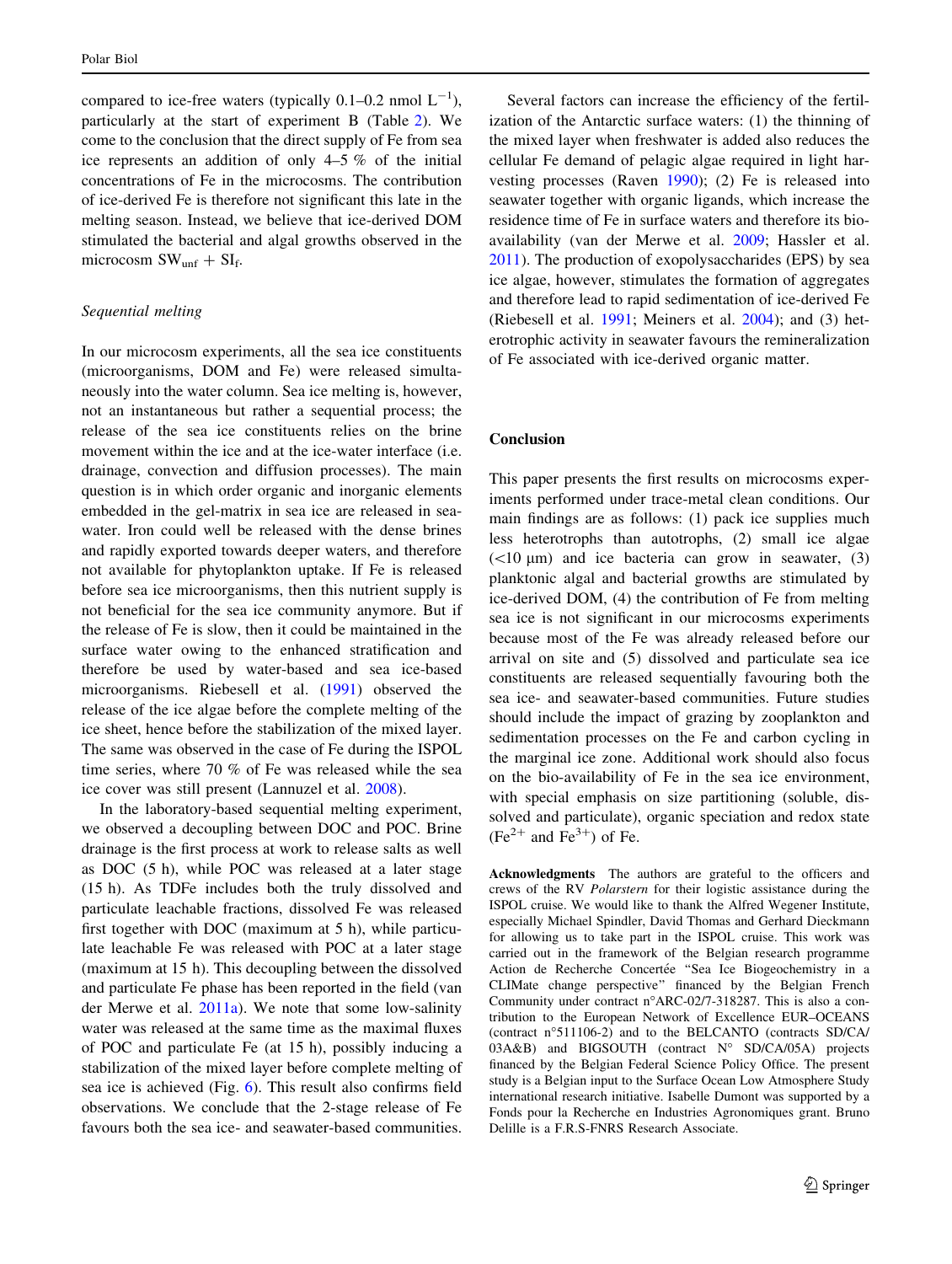compared to ice-free waters (typically 0.1–0.2 nmol  $L^{-1}$ ), particularly at the start of experiment B (Table [2](#page-5-0)). We come to the conclusion that the direct supply of Fe from sea ice represents an addition of only 4–5 % of the initial concentrations of Fe in the microcosms. The contribution of ice-derived Fe is therefore not significant this late in the melting season. Instead, we believe that ice-derived DOM stimulated the bacterial and algal growths observed in the microcosm  $SW_{unf} + SI_f$ .

## Sequential melting

In our microcosm experiments, all the sea ice constituents (microorganisms, DOM and Fe) were released simultaneously into the water column. Sea ice melting is, however, not an instantaneous but rather a sequential process; the release of the sea ice constituents relies on the brine movement within the ice and at the ice-water interface (i.e. drainage, convection and diffusion processes). The main question is in which order organic and inorganic elements embedded in the gel-matrix in sea ice are released in seawater. Iron could well be released with the dense brines and rapidly exported towards deeper waters, and therefore not available for phytoplankton uptake. If Fe is released before sea ice microorganisms, then this nutrient supply is not beneficial for the sea ice community anymore. But if the release of Fe is slow, then it could be maintained in the surface water owing to the enhanced stratification and therefore be used by water-based and sea ice-based microorganisms. Riebesell et al. ([1991\)](#page-14-0) observed the release of the ice algae before the complete melting of the ice sheet, hence before the stabilization of the mixed layer. The same was observed in the case of Fe during the ISPOL time series, where 70 % of Fe was released while the sea ice cover was still present (Lannuzel et al. [2008\)](#page-13-0).

In the laboratory-based sequential melting experiment, we observed a decoupling between DOC and POC. Brine drainage is the first process at work to release salts as well as DOC (5 h), while POC was released at a later stage (15 h). As TDFe includes both the truly dissolved and particulate leachable fractions, dissolved Fe was released first together with DOC (maximum at 5 h), while particulate leachable Fe was released with POC at a later stage (maximum at 15 h). This decoupling between the dissolved and particulate Fe phase has been reported in the field (van der Merwe et al. [2011a\)](#page-14-0). We note that some low-salinity water was released at the same time as the maximal fluxes of POC and particulate Fe (at 15 h), possibly inducing a stabilization of the mixed layer before complete melting of sea ice is achieved (Fig. [6](#page-10-0)). This result also confirms field observations. We conclude that the 2-stage release of Fe favours both the sea ice- and seawater-based communities.

Several factors can increase the efficiency of the fertilization of the Antarctic surface waters: (1) the thinning of the mixed layer when freshwater is added also reduces the cellular Fe demand of pelagic algae required in light harvesting processes (Raven [1990\)](#page-14-0); (2) Fe is released into seawater together with organic ligands, which increase the residence time of Fe in surface waters and therefore its bioavailability (van der Merwe et al. [2009;](#page-14-0) Hassler et al. [2011](#page-13-0)). The production of exopolysaccharides (EPS) by sea ice algae, however, stimulates the formation of aggregates and therefore lead to rapid sedimentation of ice-derived Fe (Riebesell et al. [1991;](#page-14-0) Meiners et al. [2004](#page-14-0)); and (3) heterotrophic activity in seawater favours the remineralization of Fe associated with ice-derived organic matter.

## Conclusion

This paper presents the first results on microcosms experiments performed under trace-metal clean conditions. Our main findings are as follows: (1) pack ice supplies much less heterotrophs than autotrophs, (2) small ice algae  $(<10 \mu m$ ) and ice bacteria can grow in seawater, (3) planktonic algal and bacterial growths are stimulated by ice-derived DOM, (4) the contribution of Fe from melting sea ice is not significant in our microcosms experiments because most of the Fe was already released before our arrival on site and (5) dissolved and particulate sea ice constituents are released sequentially favouring both the sea ice- and seawater-based communities. Future studies should include the impact of grazing by zooplankton and sedimentation processes on the Fe and carbon cycling in the marginal ice zone. Additional work should also focus on the bio-availability of Fe in the sea ice environment, with special emphasis on size partitioning (soluble, dissolved and particulate), organic speciation and redox state  $(Fe<sup>2+</sup>$  and  $Fe<sup>3+</sup>$ ) of Fe.

Acknowledgments The authors are grateful to the officers and crews of the RV Polarstern for their logistic assistance during the ISPOL cruise. We would like to thank the Alfred Wegener Institute, especially Michael Spindler, David Thomas and Gerhard Dieckmann for allowing us to take part in the ISPOL cruise. This work was carried out in the framework of the Belgian research programme Action de Recherche Concertée "Sea Ice Biogeochemistry in a CLIMate change perspective'' financed by the Belgian French Community under contract n"ARC-02/7-318287. This is also a contribution to the European Network of Excellence EUR–OCEANS (contract n"511106-2) and to the BELCANTO (contracts SD/CA/  $03A&B$ ) and BIGSOUTH (contract N° SD/CA/05A) projects financed by the Belgian Federal Science Policy Office. The present study is a Belgian input to the Surface Ocean Low Atmosphere Study international research initiative. Isabelle Dumont was supported by a Fonds pour la Recherche en Industries Agronomiques grant. Bruno Delille is a F.R.S-FNRS Research Associate.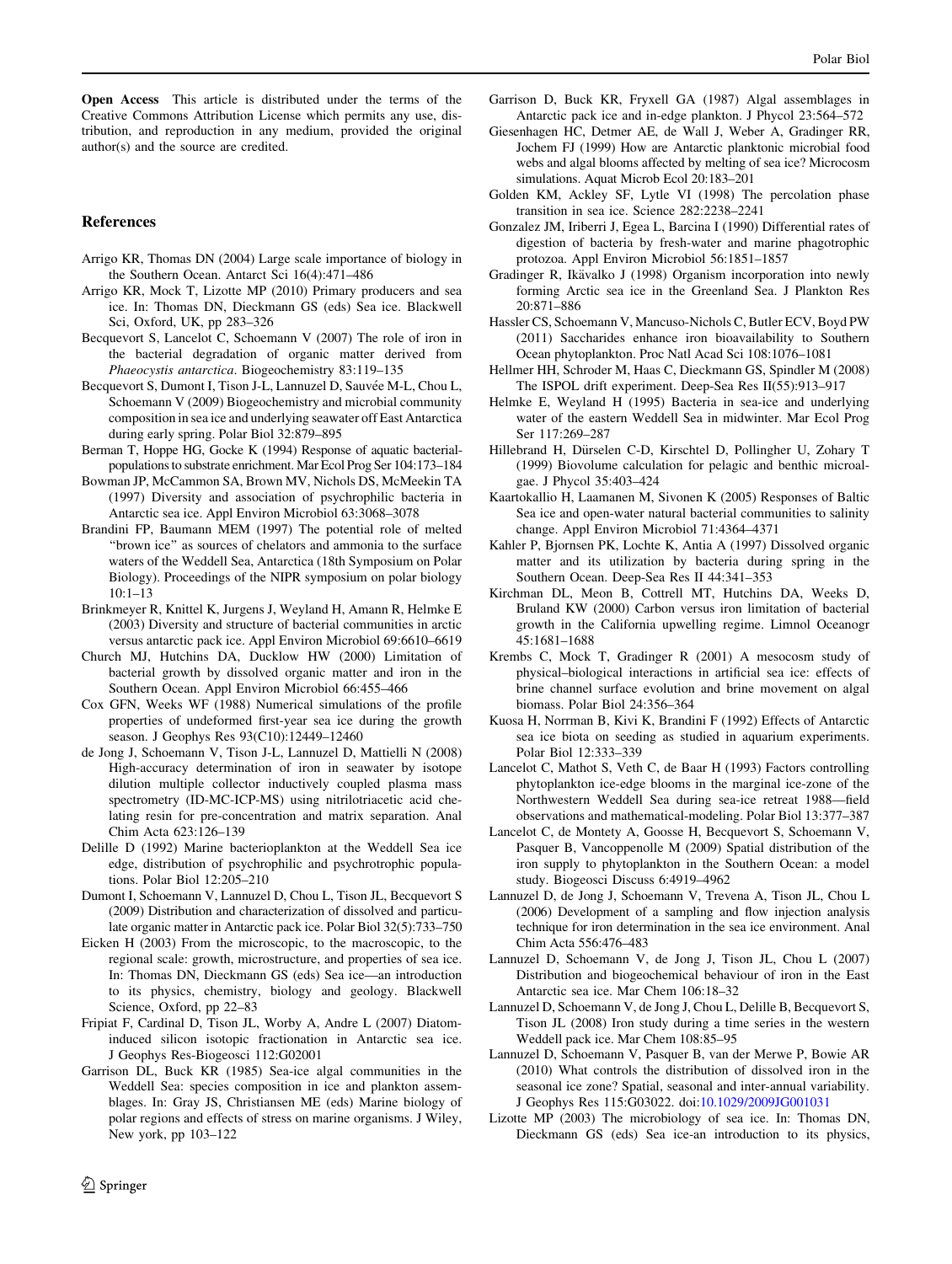Open Access This article is distributed under the terms of the Creative Commons Attribution License which permits any use, distribution, and reproduction in any medium, provided the original author(s) and the source are credited.

#### References

- Arrigo KR, Thomas DN (2004) Large scale importance of biology in the Southern Ocean. Antarct Sci 16(4):471–486
- Arrigo KR, Mock T, Lizotte MP (2010) Primary producers and sea ice. In: Thomas DN, Dieckmann GS (eds) Sea ice. Blackwell Sci, Oxford, UK, pp 283–326
- Becquevort S, Lancelot C, Schoemann V (2007) The role of iron in the bacterial degradation of organic matter derived from Phaeocystis antarctica. Biogeochemistry 83:119–135
- Becquevort S, Dumont I, Tison J-L, Lannuzel D, Sauvée M-L, Chou L, Schoemann V (2009) Biogeochemistry and microbial community composition in sea ice and underlying seawater off East Antarctica during early spring. Polar Biol 32:879–895
- Berman T, Hoppe HG, Gocke K (1994) Response of aquatic bacterialpopulations to substrate enrichment. Mar Ecol Prog Ser 104:173–184
- Bowman JP, McCammon SA, Brown MV, Nichols DS, McMeekin TA (1997) Diversity and association of psychrophilic bacteria in Antarctic sea ice. Appl Environ Microbiol 63:3068–3078
- Brandini FP, Baumann MEM (1997) The potential role of melted ''brown ice'' as sources of chelators and ammonia to the surface waters of the Weddell Sea, Antarctica (18th Symposium on Polar Biology). Proceedings of the NIPR symposium on polar biology 10:1–13
- Brinkmeyer R, Knittel K, Jurgens J, Weyland H, Amann R, Helmke E (2003) Diversity and structure of bacterial communities in arctic versus antarctic pack ice. Appl Environ Microbiol 69:6610–6619
- Church MJ, Hutchins DA, Ducklow HW (2000) Limitation of bacterial growth by dissolved organic matter and iron in the Southern Ocean. Appl Environ Microbiol 66:455–466
- Cox GFN, Weeks WF (1988) Numerical simulations of the profile properties of undeformed first-year sea ice during the growth season. J Geophys Res 93(C10):12449–12460
- de Jong J, Schoemann V, Tison J-L, Lannuzel D, Mattielli N (2008) High-accuracy determination of iron in seawater by isotope dilution multiple collector inductively coupled plasma mass spectrometry (ID-MC-ICP-MS) using nitrilotriacetic acid chelating resin for pre-concentration and matrix separation. Anal Chim Acta 623:126–139
- Delille D (1992) Marine bacterioplankton at the Weddell Sea ice edge, distribution of psychrophilic and psychrotrophic populations. Polar Biol 12:205–210
- Dumont I, Schoemann V, Lannuzel D, Chou L, Tison JL, Becquevort S (2009) Distribution and characterization of dissolved and particulate organic matter in Antarctic pack ice. Polar Biol 32(5):733–750
- Eicken H (2003) From the microscopic, to the macroscopic, to the regional scale: growth, microstructure, and properties of sea ice. In: Thomas DN, Dieckmann GS (eds) Sea ice—an introduction to its physics, chemistry, biology and geology. Blackwell Science, Oxford, pp 22–83
- Fripiat F, Cardinal D, Tison JL, Worby A, Andre L (2007) Diatominduced silicon isotopic fractionation in Antarctic sea ice. J Geophys Res-Biogeosci 112:G02001
- <span id="page-13-0"></span>Garrison DL, Buck KR (1985) Sea-ice algal communities in the Weddell Sea: species composition in ice and plankton assemblages. In: Gray JS, Christiansen ME (eds) Marine biology of polar regions and effects of stress on marine organisms. J Wiley, New york, pp 103–122
- Garrison D, Buck KR, Fryxell GA (1987) Algal assemblages in Antarctic pack ice and in-edge plankton. J Phycol 23:564–572
- Giesenhagen HC, Detmer AE, de Wall J, Weber A, Gradinger RR, Jochem FJ (1999) How are Antarctic planktonic microbial food webs and algal blooms affected by melting of sea ice? Microcosm simulations. Aquat Microb Ecol 20:183–201
- Golden KM, Ackley SF, Lytle VI (1998) The percolation phase transition in sea ice. Science 282:2238–2241
- Gonzalez JM, Iriberri J, Egea L, Barcina I (1990) Differential rates of digestion of bacteria by fresh-water and marine phagotrophic protozoa. Appl Environ Microbiol 56:1851–1857
- Gradinger R, Ikävalko J (1998) Organism incorporation into newly forming Arctic sea ice in the Greenland Sea. J Plankton Res 20:871–886
- Hassler CS, Schoemann V, Mancuso-Nichols C, Butler ECV, Boyd PW (2011) Saccharides enhance iron bioavailability to Southern Ocean phytoplankton. Proc Natl Acad Sci 108:1076–1081
- Hellmer HH, Schroder M, Haas C, Dieckmann GS, Spindler M (2008) The ISPOL drift experiment. Deep-Sea Res II(55):913–917
- Helmke E, Weyland H (1995) Bacteria in sea-ice and underlying water of the eastern Weddell Sea in midwinter. Mar Ecol Prog Ser 117:269–287
- Hillebrand H, Dürselen C-D, Kirschtel D, Pollingher U, Zohary T (1999) Biovolume calculation for pelagic and benthic microalgae. J Phycol 35:403–424
- Kaartokallio H, Laamanen M, Sivonen K (2005) Responses of Baltic Sea ice and open-water natural bacterial communities to salinity change. Appl Environ Microbiol 71:4364–4371
- Kahler P, Bjornsen PK, Lochte K, Antia A (1997) Dissolved organic matter and its utilization by bacteria during spring in the Southern Ocean. Deep-Sea Res II 44:341–353
- Kirchman DL, Meon B, Cottrell MT, Hutchins DA, Weeks D, Bruland KW (2000) Carbon versus iron limitation of bacterial growth in the California upwelling regime. Limnol Oceanogr 45:1681–1688
- Krembs C, Mock T, Gradinger R (2001) A mesocosm study of physical–biological interactions in artificial sea ice: effects of brine channel surface evolution and brine movement on algal biomass. Polar Biol 24:356–364
- Kuosa H, Norrman B, Kivi K, Brandini F (1992) Effects of Antarctic sea ice biota on seeding as studied in aquarium experiments. Polar Biol 12:333–339
- Lancelot C, Mathot S, Veth C, de Baar H (1993) Factors controlling phytoplankton ice-edge blooms in the marginal ice-zone of the Northwestern Weddell Sea during sea-ice retreat 1988—field observations and mathematical-modeling. Polar Biol 13:377–387
- Lancelot C, de Montety A, Goosse H, Becquevort S, Schoemann V, Pasquer B, Vancoppenolle M (2009) Spatial distribution of the iron supply to phytoplankton in the Southern Ocean: a model study. Biogeosci Discuss 6:4919–4962
- Lannuzel D, de Jong J, Schoemann V, Trevena A, Tison JL, Chou L (2006) Development of a sampling and flow injection analysis technique for iron determination in the sea ice environment. Anal Chim Acta 556:476–483
- Lannuzel D, Schoemann V, de Jong J, Tison JL, Chou L (2007) Distribution and biogeochemical behaviour of iron in the East Antarctic sea ice. Mar Chem 106:18–32
- Lannuzel D, Schoemann V, de Jong J, Chou L, Delille B, Becquevort S, Tison JL (2008) Iron study during a time series in the western Weddell pack ice. Mar Chem 108:85–95
- Lannuzel D, Schoemann V, Pasquer B, van der Merwe P, Bowie AR (2010) What controls the distribution of dissolved iron in the seasonal ice zone? Spatial, seasonal and inter-annual variability. J Geophys Res 115:G03022. doi[:10.1029/2009JG001031](http://dx.doi.org/10.1029/2009JG001031)
- Lizotte MP (2003) The microbiology of sea ice. In: Thomas DN, Dieckmann GS (eds) Sea ice-an introduction to its physics,